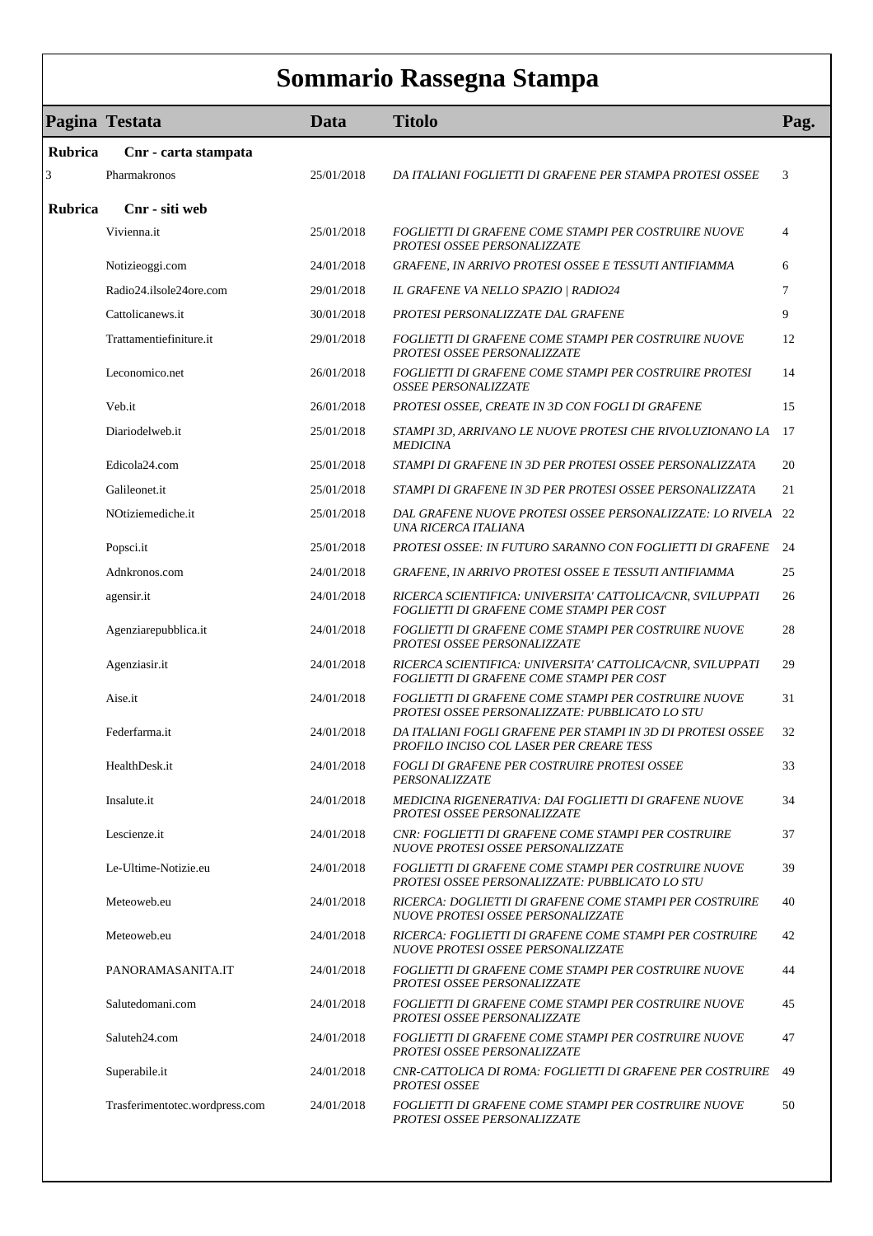# **Sommario Rassegna Stampa**

|                | Pagina Testata                 | Data       | <b>Titolo</b>                                                                                           | Pag. |
|----------------|--------------------------------|------------|---------------------------------------------------------------------------------------------------------|------|
| <b>Rubrica</b> | Cnr - carta stampata           |            |                                                                                                         |      |
| 3              | Pharmakronos                   | 25/01/2018 | DA ITALIANI FOGLIETTI DI GRAFENE PER STAMPA PROTESI OSSEE                                               | 3    |
| Rubrica        | Cnr - siti web                 |            |                                                                                                         |      |
|                | Vivienna.it                    | 25/01/2018 | <b>FOGLIETTI DI GRAFENE COME STAMPI PER COSTRUIRE NUOVE</b><br>PROTESI OSSEE PERSONALIZZATE             | 4    |
|                | Notizieoggi.com                | 24/01/2018 | GRAFENE, IN ARRIVO PROTESI OSSEE E TESSUTI ANTIFIAMMA                                                   | 6    |
|                | Radio24.ilsole24ore.com        | 29/01/2018 | IL GRAFENE VA NELLO SPAZIO   RADIO24                                                                    | 7    |
|                | Cattolicanews.it               | 30/01/2018 | PROTESI PERSONALIZZATE DAL GRAFENE                                                                      | 9    |
|                | Trattamentiefiniture.it        | 29/01/2018 | <b>FOGLIETTI DI GRAFENE COME STAMPI PER COSTRUIRE NUOVE</b><br><b>PROTESI OSSEE PERSONALIZZATE</b>      | 12   |
|                | Leconomico.net                 | 26/01/2018 | <b>FOGLIETTI DI GRAFENE COME STAMPI PER COSTRUIRE PROTESI</b><br><b>OSSEE PERSONALIZZATE</b>            | 14   |
|                | Veb.it                         | 26/01/2018 | PROTESI OSSEE, CREATE IN 3D CON FOGLI DI GRAFENE                                                        | 15   |
|                | Diariodelweb.it                | 25/01/2018 | STAMPI 3D, ARRIVANO LE NUOVE PROTESI CHE RIVOLUZIONANO LA<br><b>MEDICINA</b>                            | 17   |
|                | Edicola24.com                  | 25/01/2018 | STAMPI DI GRAFENE IN 3D PER PROTESI OSSEE PERSONALIZZATA                                                | 20   |
|                | Galileonet.it                  | 25/01/2018 | STAMPI DI GRAFENE IN 3D PER PROTESI OSSEE PERSONALIZZATA                                                | 21   |
|                | NOtiziemediche.it              | 25/01/2018 | DAL GRAFENE NUOVE PROTESI OSSEE PERSONALIZZATE: LO RIVELA 22<br>UNA RICERCA ITALIANA                    |      |
|                | Popsci.it                      | 25/01/2018 | <b>PROTESI OSSEE: IN FUTURO SARANNO CON FOGLIETTI DI GRAFENE</b>                                        | 24   |
|                | Adnkronos.com                  | 24/01/2018 | GRAFENE, IN ARRIVO PROTESI OSSEE E TESSUTI ANTIFIAMMA                                                   | 25   |
|                | agensir.it                     | 24/01/2018 | RICERCA SCIENTIFICA: UNIVERSITA' CATTOLICA/CNR, SVILUPPATI<br>FOGLIETTI DI GRAFENE COME STAMPI PER COST | 26   |
|                | Agenziarepubblica.it           | 24/01/2018 | <b>FOGLIETTI DI GRAFENE COME STAMPI PER COSTRUIRE NUOVE</b><br>PROTESI OSSEE PERSONALIZZATE             | 28   |
|                | Agenziasir.it                  | 24/01/2018 | RICERCA SCIENTIFICA: UNIVERSITA' CATTOLICA/CNR, SVILUPPATI<br>FOGLIETTI DI GRAFENE COME STAMPI PER COST | 29   |
|                | Aise.it                        | 24/01/2018 | FOGLIETTI DI GRAFENE COME STAMPI PER COSTRUIRE NUOVE<br>PROTESI OSSEE PERSONALIZZATE: PUBBLICATO LO STU | 31   |
|                | Federfarma.it                  | 24/01/2018 | DA ITALIANI FOGLI GRAFENE PER STAMPI IN 3D DI PROTESI OSSEE<br>PROFILO INCISO COL LASER PER CREARE TESS | 32   |
|                | HealthDesk.it                  | 24/01/2018 | <b>FOGLI DI GRAFENE PER COSTRUIRE PROTESI OSSEE</b><br>PERSONALIZZATE                                   | 33   |
|                | Insalute.it                    | 24/01/2018 | MEDICINA RIGENERATIVA: DAI FOGLIETTI DI GRAFENE NUOVE<br>PROTESI OSSEE PERSONALIZZATE                   | 34   |
|                | Lescienze.it                   | 24/01/2018 | CNR: FOGLIETTI DI GRAFENE COME STAMPI PER COSTRUIRE<br>NUOVE PROTESI OSSEE PERSONALIZZATE               | 37   |
|                | Le-Ultime-Notizie.eu           | 24/01/2018 | FOGLIETTI DI GRAFENE COME STAMPI PER COSTRUIRE NUOVE<br>PROTESI OSSEE PERSONALIZZATE: PUBBLICATO LO STU | 39   |
|                | Meteoweb.eu                    | 24/01/2018 | RICERCA: DOGLIETTI DI GRAFENE COME STAMPI PER COSTRUIRE<br>NUOVE PROTESI OSSEE PERSONALIZZATE           | 40   |
|                | Meteoweb.eu                    | 24/01/2018 | RICERCA: FOGLIETTI DI GRAFENE COME STAMPI PER COSTRUIRE<br>NUOVE PROTESI OSSEE PERSONALIZZATE           | 42   |
|                | PANORAMASANITA.IT              | 24/01/2018 | FOGLIETTI DI GRAFENE COME STAMPI PER COSTRUIRE NUOVE<br>PROTESI OSSEE PERSONALIZZATE                    | 44   |
|                | Salutedomani.com               | 24/01/2018 | <b>FOGLIETTI DI GRAFENE COME STAMPI PER COSTRUIRE NUOVE</b><br>PROTESI OSSEE PERSONALIZZATE             | 45   |
|                | Saluteh24.com                  | 24/01/2018 | <b>FOGLIETTI DI GRAFENE COME STAMPI PER COSTRUIRE NUOVE</b><br><b>PROTESI OSSEE PERSONALIZZATE</b>      | 47   |
|                | Superabile.it                  | 24/01/2018 | CNR-CATTOLICA DI ROMA: FOGLIETTI DI GRAFENE PER COSTRUIRE<br><b>PROTESI OSSEE</b>                       | 49   |
|                | Trasferimentotec.wordpress.com | 24/01/2018 | FOGLIETTI DI GRAFENE COME STAMPI PER COSTRUIRE NUOVE<br>PROTESI OSSEE PERSONALIZZATE                    | 50   |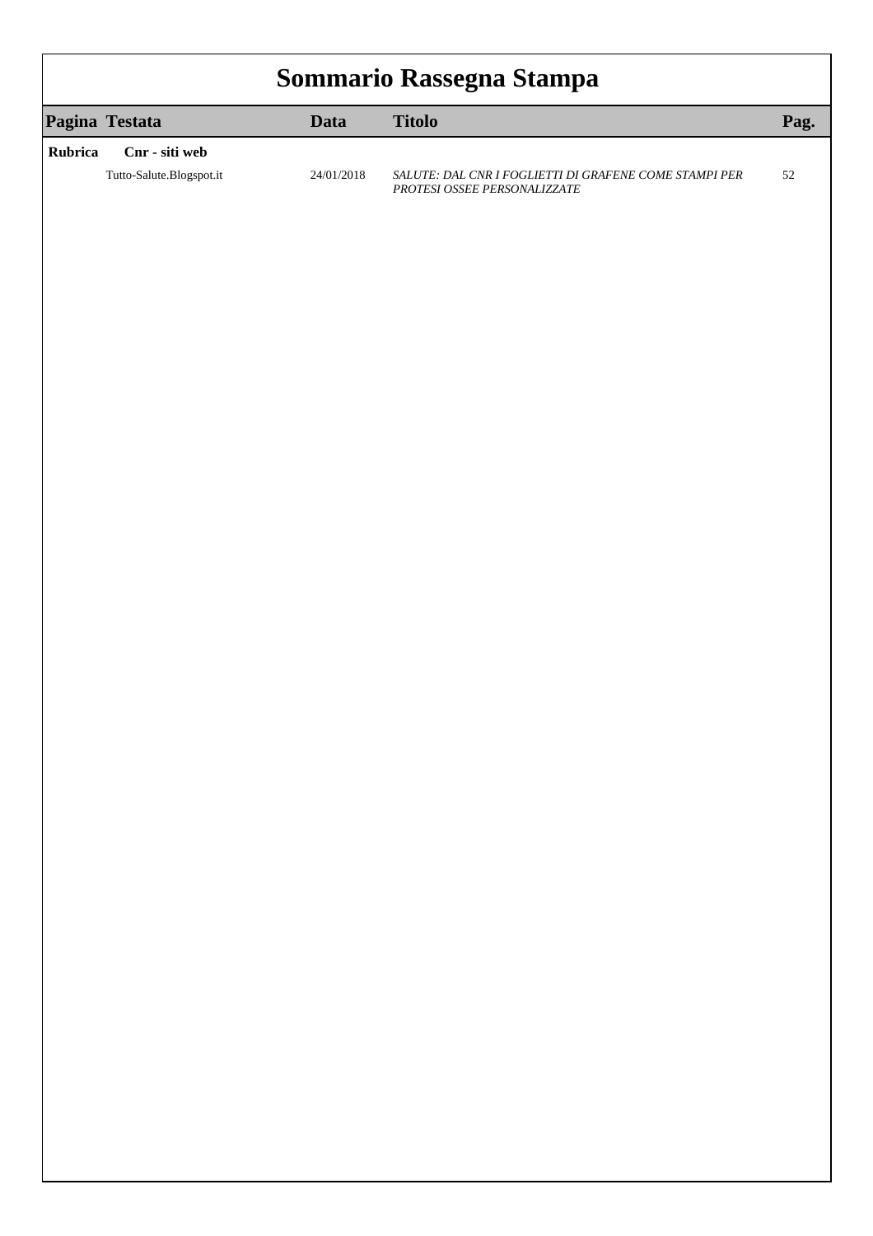| <b>Sommario Rassegna Stampa</b> |                                            |             |                                                                                        |        |  |
|---------------------------------|--------------------------------------------|-------------|----------------------------------------------------------------------------------------|--------|--|
|                                 | Pagina Testata                             | <b>Data</b> | <b>Titolo</b>                                                                          | Pag.   |  |
| Rubrica                         | Cnr - siti web<br>Tutto-Salute.Blogspot.it | 24/01/2018  | SALUTE: DAL CNR I FOGLIETTI DI GRAFENE COME STAMPI PER<br>PROTESI OSSEE PERSONALIZZATE | $52\,$ |  |
|                                 |                                            |             |                                                                                        |        |  |
|                                 |                                            |             |                                                                                        |        |  |
|                                 |                                            |             |                                                                                        |        |  |
|                                 |                                            |             |                                                                                        |        |  |
|                                 |                                            |             |                                                                                        |        |  |
|                                 |                                            |             |                                                                                        |        |  |
|                                 |                                            |             |                                                                                        |        |  |
|                                 |                                            |             |                                                                                        |        |  |
|                                 |                                            |             |                                                                                        |        |  |
|                                 |                                            |             |                                                                                        |        |  |
|                                 |                                            |             |                                                                                        |        |  |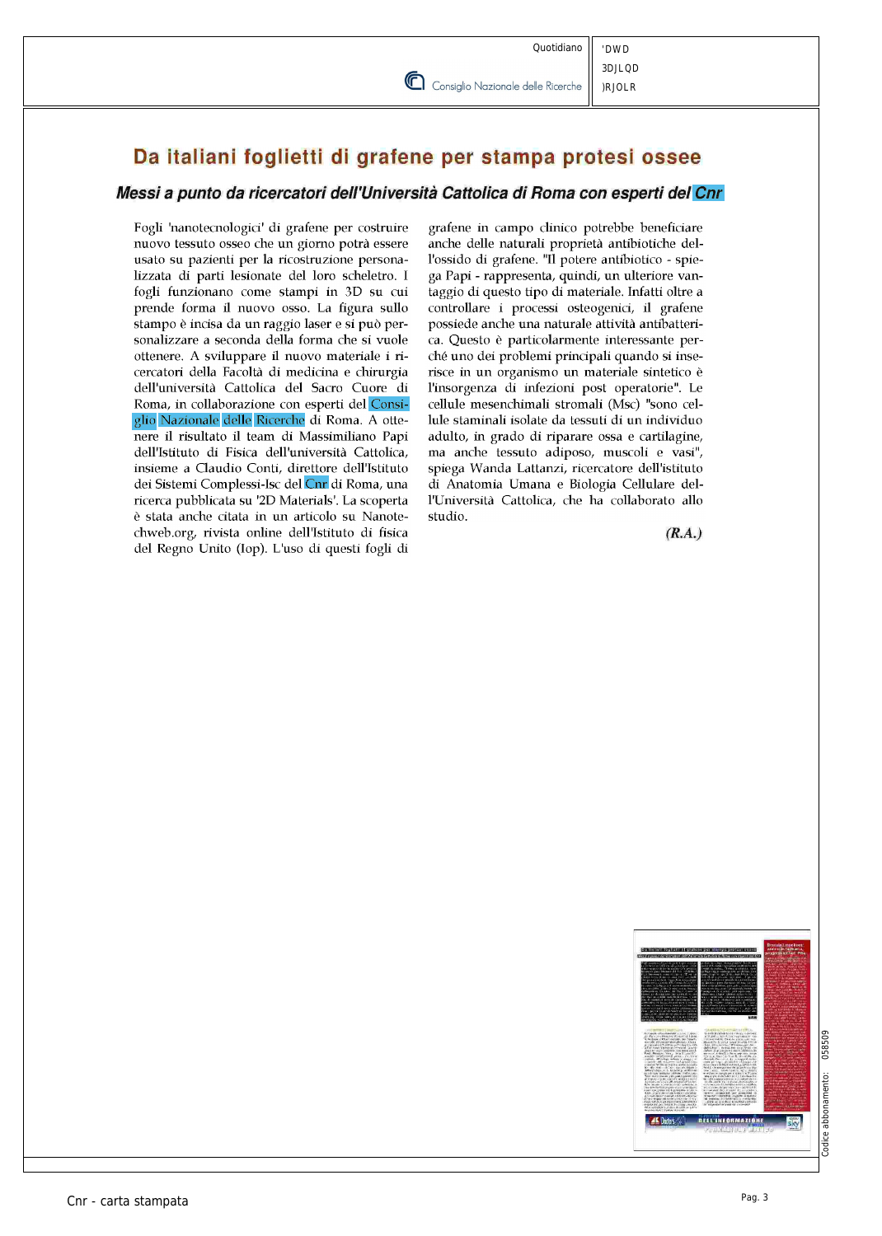3DJLQD Consiglio Nazionale delle Ricerche )RJOLR

### <span id="page-2-0"></span>Da italiani foglietti di grafene per stampa protesi ossee

#### Messi a punto da ricercatori dell'Università Cattolica di Roma con esperti del Cnr

Fogli 'nanotecnologici' di grafene per costruire nuovo tessuto osseo che un giorno potrà essere usato su pazienti per la ricostruzione personalizzata di parti lesionate del loro scheletro. I fogli funzionano come stampi in 3D su cui prende forma il nuovo osso. La figura sullo stampo è incisa da un raggio laser e si può personalizzare a seconda della forma che si vuole ottenere. A sviluppare il nuovo materiale i ricercatori della Facoltà di medicina e chirurgia dell'università Cattolica del Sacro Cuore di Roma, in collaborazione con esperti del Consiglio Nazionale delle Ricerche di Roma. A ottenere il risultato il team di Massimiliano Papi dell'Istituto di Fisica dell'università Cattolica, insieme a Claudio Conti, direttore dell'Istituto dei Sistemi Complessi-Isc del Cnr di Roma, una ricerca pubblicata su '2D Materials'. La scoperta è stata anche citata in un articolo su Nanotechweb.org, rivista online dell'Istituto di fisica del Regno Unito (Iop). L'uso di questi fogli di grafene in campo clinico potrebbe beneficiare anche delle naturali proprietà antibiotiche dell'ossido di grafene. "Il potere antibiotico - spiega Papi - rappresenta, quindi, un ulteriore vantaggio di questo tipo di materiale. Infatti oltre a controllare i processi osteogenici, il grafene possiede anche una naturale attività antibatterica. Questo è particolarmente interessante perché uno dei problemi principali quando si inserisce in un organismo un materiale sintetico è l'insorgenza di infezioni post operatorie". Le cellule mesenchimali stromali (Msc) "sono cellule staminali isolate da tessuti di un individuo adulto, in grado di riparare ossa e cartilagine, ma anche tessuto adiposo, muscoli e vasi", spiega Wanda Lattanzi, ricercatore dell'istituto di Anatomia Umana e Biologia Cellulare dell'Università Cattolica, che ha collaborato allo studio.

 $(R.A.)$ 

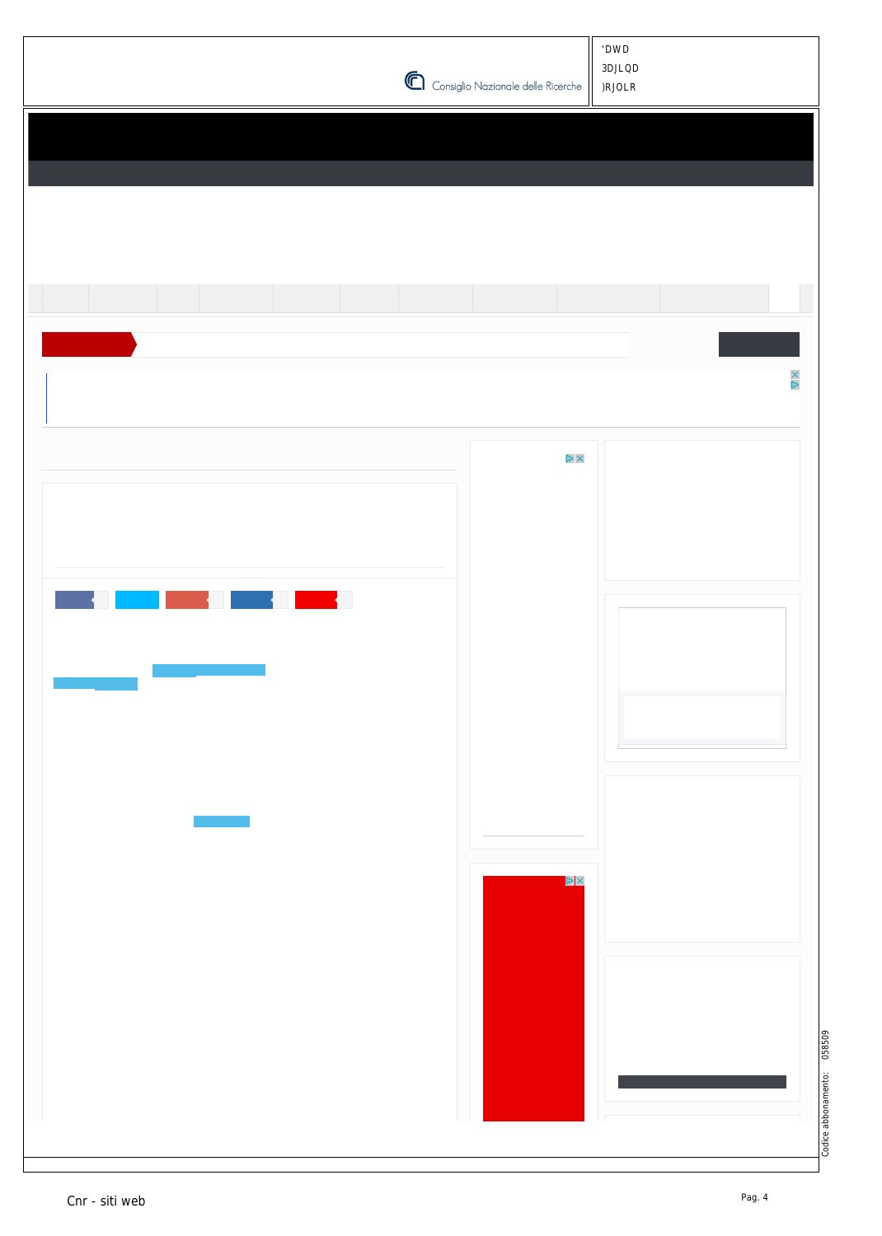<span id="page-3-0"></span>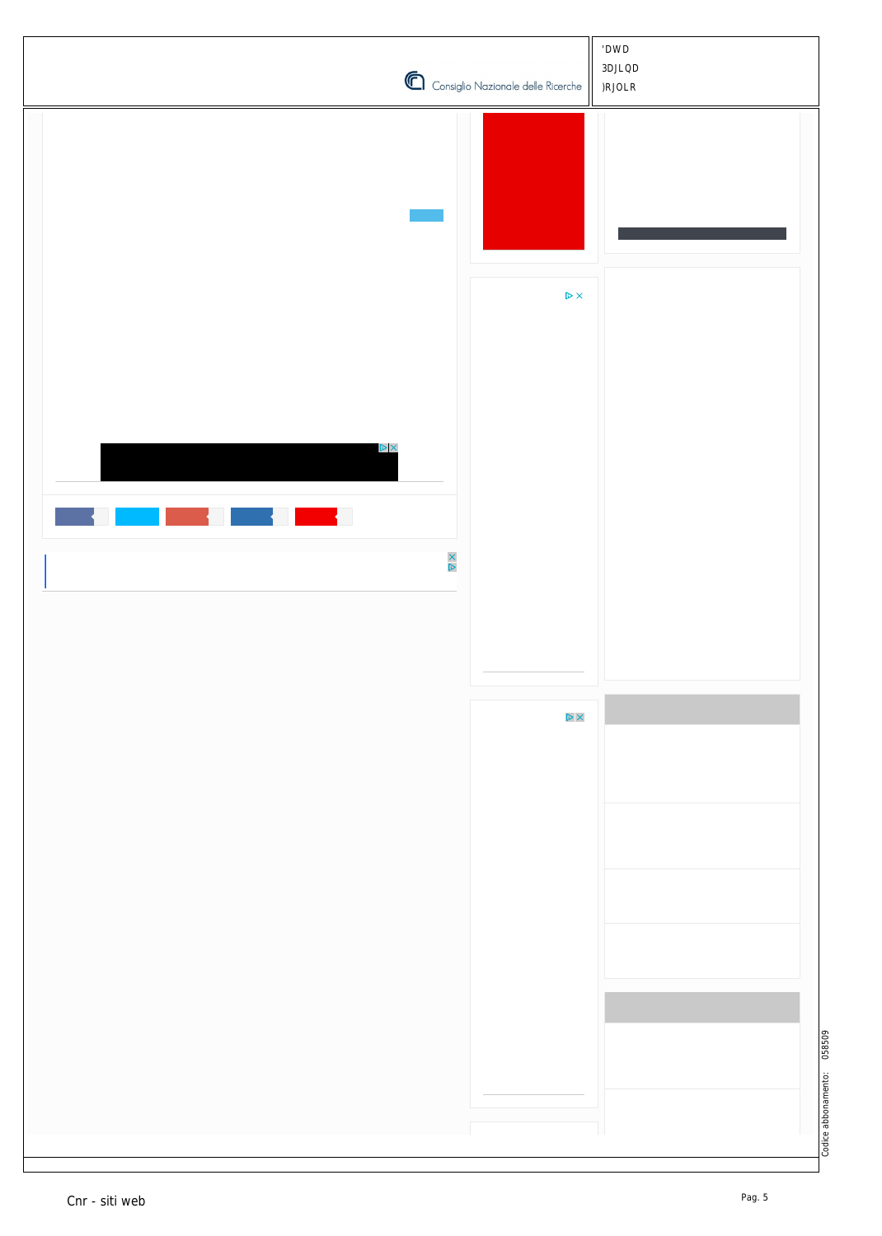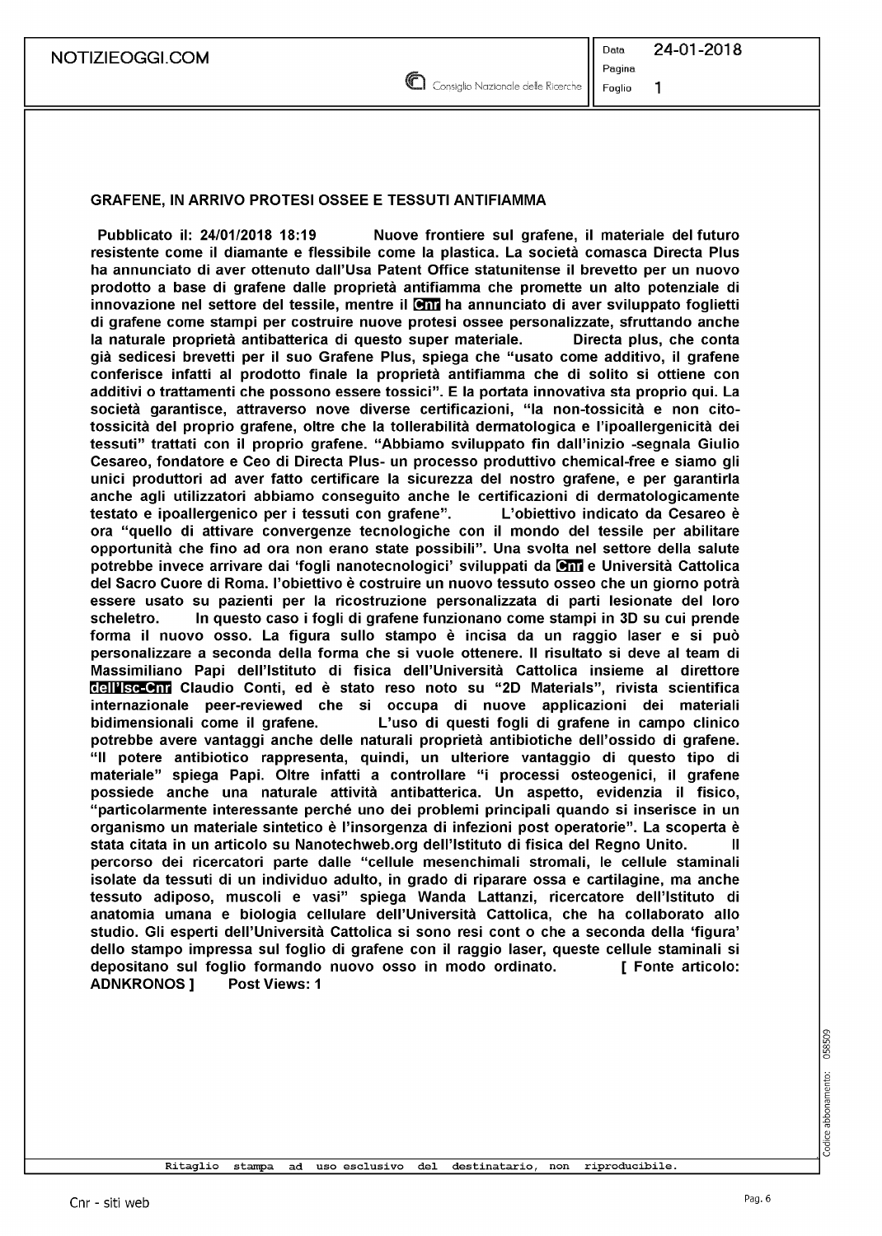Consiglio Nazionale delle Ricerche

Foglio  $\mathbf{1}$ 

#### **GRAFENE. IN ARRIVO PROTESI OSSEE E TESSUTI ANTIFIAMMA**

Pubblicato il: 24/01/2018 18:19 Nuove frontiere sul grafene, il materiale del futuro resistente come il diamante e flessibile come la plastica. La società comasca Directa Plus ha annunciato di aver ottenuto dall'Usa Patent Office statunitense il brevetto per un nuovo prodotto a base di grafene dalle proprietà antifiamma che promette un alto potenziale di innovazione nel settore del tessile, mentre il **Gni** ha annunciato di aver sviluppato foglietti di grafene come stampi per costruire nuove protesi ossee personalizzate, sfruttando anche la naturale proprietà antibatterica di questo super materiale. Directa plus, che conta già sedicesi brevetti per il suo Grafene Plus, spiega che "usato come additivo, il grafene conferisce infatti al prodotto finale la proprietà antifiamma che di solito si ottiene con additivi o trattamenti che possono essere tossici". E la portata innovativa sta proprio qui. La società garantisce, attraverso nove diverse certificazioni, "la non-tossicità e non citotossicità del proprio grafene, oltre che la tollerabilità dermatologica e l'ipoallergenicità dei tessuti" trattati con il proprio grafene. "Abbiamo sviluppato fin dall'inizio -segnala Giulio Cesareo, fondatore e Ceo di Directa Plus- un processo produttivo chemical-free e siamo gli unici produttori ad aver fatto certificare la sicurezza del nostro grafene, e per garantirla anche agli utilizzatori abbiamo conseguito anche le certificazioni di dermatologicamente testato e ipoallergenico per i tessuti con grafene". L'obiettivo indicato da Cesareo è ora "quello di attivare convergenze tecnologiche con il mondo del tessile per abilitare opportunità che fino ad ora non erano state possibili". Una svolta nel settore della salute potrebbe invece arrivare dai 'fogli nanotecnologici' sviluppati da **Cili** e Università Cattolica del Sacro Cuore di Roma. l'obiettivo è costruire un nuovo tessuto osseo che un giorno potrà essere usato su pazienti per la ricostruzione personalizzata di parti lesionate del loro scheletro. In questo caso i fogli di grafene funzionano come stampi in 3D su cui prende forma il nuovo osso. La figura sullo stampo è incisa da un raggio laser e si può personalizzare a seconda della forma che si vuole ottenere. Il risultato si deve al team di Massimiliano Papi dell'Istituto di fisica dell'Università Cattolica insieme al direttore dell'Isc-Ont Claudio Conti, ed è stato reso noto su "2D Materials", rivista scientifica internazionale peer-reviewed che si occupa di nuove applicazioni dei materiali bidimensionali come il grafene. L'uso di questi fogli di grafene in campo clinico potrebbe avere vantaggi anche delle naturali proprietà antibiotiche dell'ossido di grafene. "Il potere antibiotico rappresenta, quindi, un ulteriore vantaggio di questo tipo di materiale" spiega Papi. Oltre infatti a controllare "i processi osteogenici, il grafene possiede anche una naturale attività antibatterica. Un aspetto, evidenzia il fisico, "particolarmente interessante perché uno dei problemi principali quando si inserisce in un organismo un materiale sintetico è l'insorgenza di infezioni post operatorie". La scoperta è stata citata in un articolo su Nanotechweb.org dell'Istituto di fisica del Regno Unito. percorso dei ricercatori parte dalle "cellule mesenchimali stromali, le cellule staminali isolate da tessuti di un individuo adulto, in grado di riparare ossa e cartilagine, ma anche tessuto adiposo, muscoli e vasi" spiega Wanda Lattanzi, ricercatore dell'Istituto di anatomia umana e biologia cellulare dell'Università Cattolica, che ha collaborato allo studio. Gli esperti dell'Università Cattolica si sono resi cont o che a seconda della 'figura' dello stampo impressa sul foglio di grafene con il raggio laser, queste cellule staminali si depositano sul foglio formando nuovo osso in modo ordinato. [ Fonte articolo: **ADNKRONOS 1 Post Views: 1**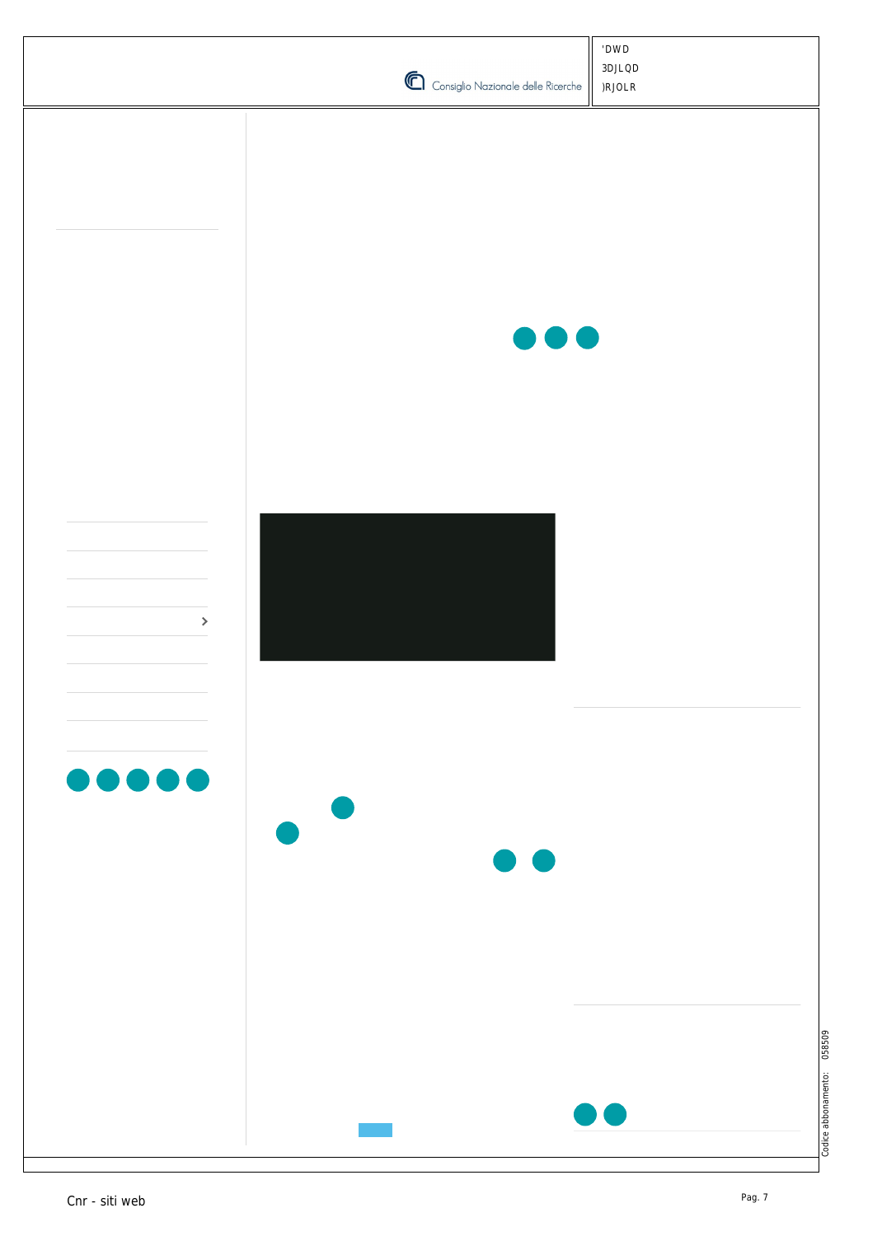<span id="page-6-0"></span>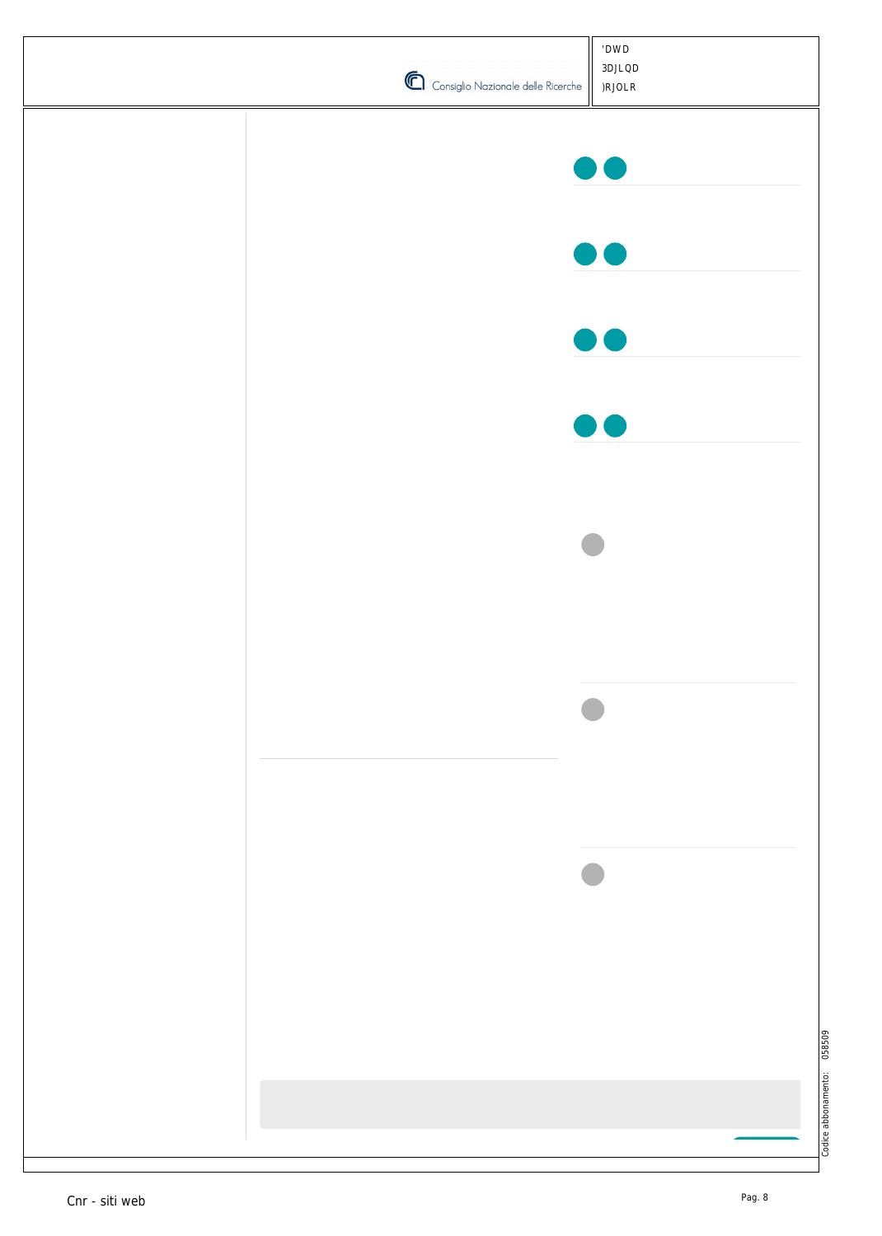<span id="page-7-0"></span>Consiglio Nazionale delle Ricerche GL XQR GHL QXPHURVL SURQUANYWLXZQKAHWNALTRDVGZ QHOO DOYHR GH \*UDSKHQH ODJVKLS LO SURJUDPPD GL ULFHUFD GHOO 8( GD XQ PLOLDUGR GL HXUR GHGLF $\tilde{D}_F^2W_H\tilde{W}_N^3\tilde{Q}_N^3\tilde{Q}_1W^2W_HQ_1W_HQ_2 +$ **3HU TXDQWR SRVVD VHPEUDUH FRQWUR** LQWXLWLYR GLVSHUGHUH LO FDORUH | XQ SUREOHPD QHOOR VSDJLR SHUFKS 1995KHLYSE TXHVWR | PROWR IUHGGR LO YXRWR LPSHGLV DO FDORUH GL VIXJJLUH VLJ JHU FRQYHILRQI SHU FRQGX]LRQH 6HUYRQR+TXLQGL VROX]LRC VRILVWLFDWH H DO WHPSR VWHVVR OHJJHUH SURYD GL JXDVWR & RQ O LQJ ODUFR OROLQD & 8&4792 66 SD5 koR9 °GL /HRQDUGR  $8.84(.81)$ TWJ KF % 7 &  $\big)$  . 4 D 3  $*$  < 8 79% SNPHFW GOT 554J) (& 89B VZ  $5:3989857'$  (\*)\*39\* WNFXHTQYFWJ QF UZSYFY 6H OD GRFFLD GLYHQWDTX8NEFWJYYJ XQ URERW INFGJYJ IN YNB 7JUQ^7JY\JJY +F[TWNYJ TW.I KF % 7 &  $)$  . 4 D 3  $*$  < 8  $; *).$  & 197\* 5:39&9\* 79% INIJSFV@M54) (& 8\$B UJWNHTQTXT XHTRGNSFY STWRFYN[T UTYWJGGJ RI KTSIN J QJ HFXXJ IN FXXI XFSNYFWNF FB 7JUQ^ 7JY\JJY +F[TWNYJ TWJ KF %7&).4  $D3* < 8$ 79%3JXXZSF5JWWWFXHTQI UZSYFYF IN ITRJSNHF 'JF 8J Q TXXJXXNTSJ UJW Q F HTSIN\_NTSF FIINWNYYZWI 7JUQ^ 7JY\JJY +F[TWNYJ 058509 Codice abbonamento: 8 H W N [N Z S H T R R J S Y T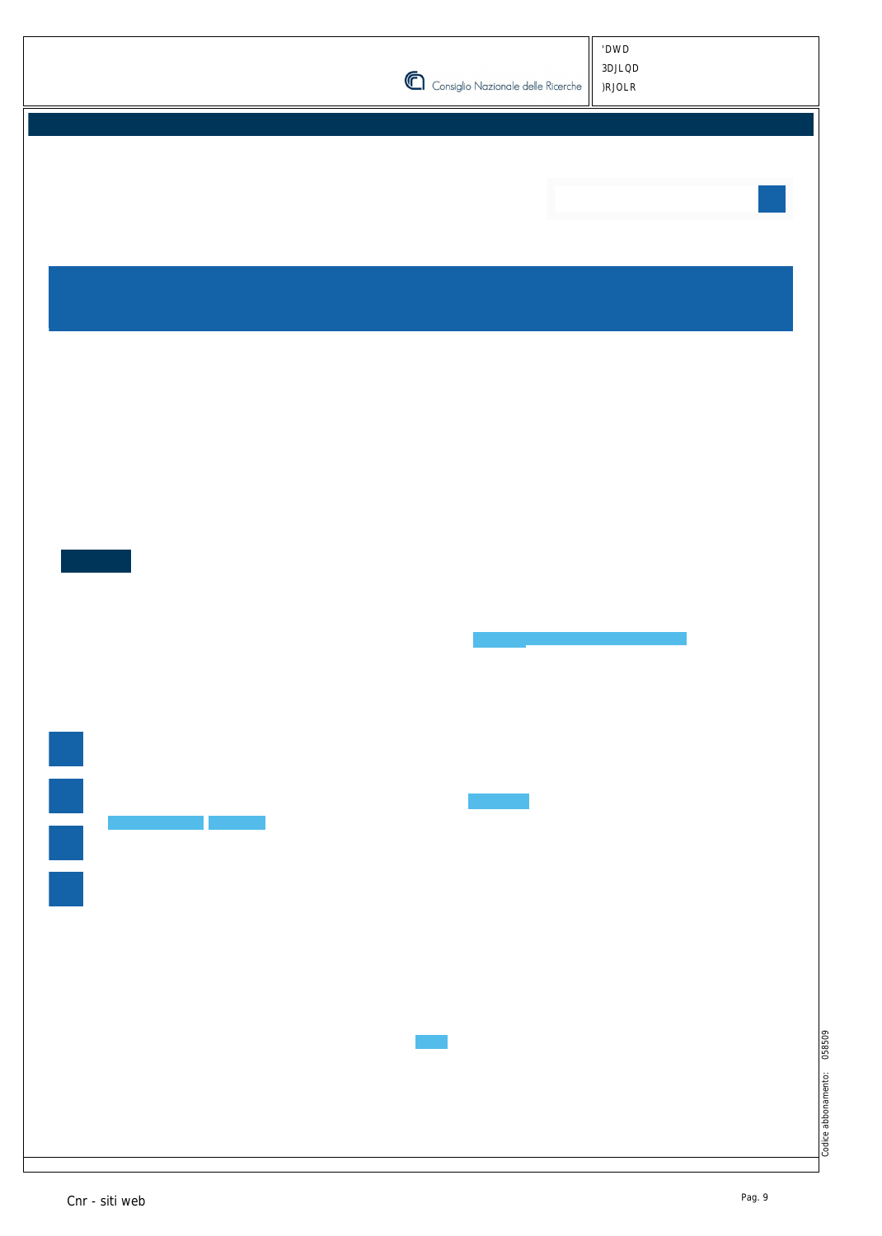<span id="page-8-0"></span>

#### **JHQQDLR**

5LFHUFDWRUL GHOOD ) DFROW j GL 0HGLFLQD H FKLUXUJLD GHOO¶ GHO 6DFUR & XRUH GL 5RPD LQ FROODERUDILRQH FRQ HVSHUWL ( 1DILRQDOH GHOOH 5LFHUFKH GL 5RPD KDQQR VYLOXSSDWR µIRJ QDQRWHFQRORJLFL¶ SHU FRVWUXLUH QXRYR WHVVXWR RVVHR FK HVVHUH XVDWR VX SDJLHQWL SHU OD ULFRVWUXJLRQH SHUVRQDOI OHVLRQDWH GHO ORUR VFKHOHWUR, IRJOL GL JUDIHQH IXQ]LRQI ' VX FXL SUHQGH IRUPD LO QXRYR RVVR /D ILJXUD VXOOR VWDP: XQ UDJJLR ODVHU H VL SXz SHUVRQDOL]]DUH D VHFRQGD GHOOD | YXROH RWWHQHUH

O ULVXOWDWR VL GHYHODOOVLOVHLLDOPLDGQHROOGSDUSRKUWNLWWRWR GL ) LVLFD GHOO 8QLYHUVLW j& DW&NORDOXLOFIDR & QRWHLPH DO SURIHVVRU GLUHWWRUH GHOO, VWLWXWR GHL 6LVWHPL &RPSOHVVL, 6& GHO { VWDWR UHVR QRWR VX '0DWHULDOV ULYLVWD VFLHQWLILFD LO UHYLHZHG FKH VL RFFXSD GL QXRYH DSSOLFD]LRQL GHL PDWHULD FRPH LO JUDIHOH

05850 Codice abbonamento: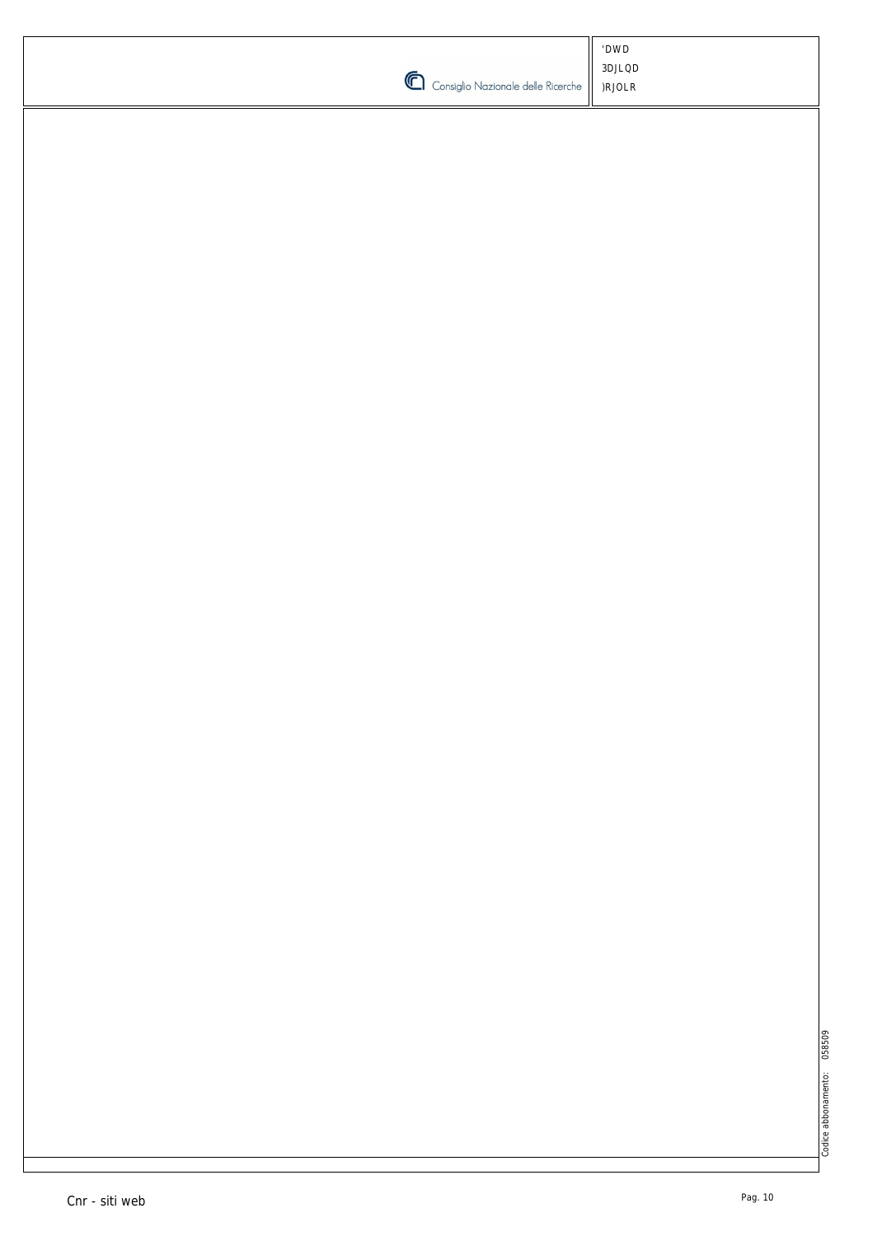/ XVR GL TXHVWL IRJOL GL JUDIHQH LQ FDPSR FOLQLFR SRWUHEE DQFKH GHOOH QDWXUDOL SURSULHWI DQWLELRWLFKH GHOO¶RVVI **DQWLELRWLFR** VSLHJD LO SURIHVVRU 3DSL ± UDSSUHVHQWD T X YDQWDJJLR GL TXHVWR WLSR GL PDWHULDOH, QIDWWL ROWUH D RVWHRJHQLFL LO JUDIHQH SRVVLHGH DQFKH XQD QDWXUDOH DW 4XHVWR q SDUWLFRODUPHQWH LQWHUHVVDQWH SHUFKp XQR GHL TXDQGR VL LQVHULVFH LQ XQ RUJDQLVPR XQ PDWHULDOH VLQWH\ GL LQIHILRQL SRVW RSHUDWRULH'

/D VFRSHUWD q VWDWD DQFK1HDFQLRWNDHWFBXZLHQEXRQUJDUWLFROR VX ULYLVWD RQOLQH GHOO, VWLWXWR GL ILVLFD GHO 5HJQR 8QLWR

<sup>3</sup>/H FHOOXOH PHVHQFKLPDOL VWURPDOL 06& VRQR OH FHOOXOH GD WHVVXWL GL XQ LQGLYLGXR DGXOWR LQ JUDGR GL ULSDUDUF PD DQFKH WHVVXWR DGLSRVR PXVFRODQIGIDYDVL' VSLHJD OD GRW' /DWWDLQLIEHUFDWRUH GHOO¶LVWLWXWR GL \$QDWRPLD 8PDQD H %L GHOO¶8QLYHUVLWj &DWWROLFD FKH KD FROODERUDWR DOOR VW

\*OL HVSHUWL GHOO¶8QLYHUVLW| &DWWROLFD VL VRQR UHVL FRQ µILJXUD¶ GHOOR VWDPSR LPSUHVVD VXO IRJOLR GL JUDIHQH FRQ TXHVWH FHOOXOH VWDPLQDOL VL GHSRVLWDQR VXO IRJOLR IRUPI PRGR RUGLQDWR 3L. SUHFLVDPHQWH ODGGRYH LO ODVHU KD LQI VWDPLQDOL VL DFFXPXODQR H IRUPDQR RVVR ODGGRYH LO IRJOL ODVHU OH VWDPLQDOL QRQ VL WUDVIRUPDQR LQ FHOOXOH 3PDWX GLIIHUHQID GL WUDWWDPHQWL FRQ DJHQWL FKLPLFL SHUPHWWH VXSHUILFLH GHO IRJOLR XQR VSHFLILFR SURILOR H PRGXODUH GL GRYH VL DYUj SL. PDWHULDOH RVVHR

6L WUDWWD GL XQD VRUSUHQGHQWH DSSOLFD]LRQH GHOOD SUR ! ODVHU QHL PH]]L FRPSOHVVL FRQ LPSRUWDQWL DSSOLFD]LRQL LQ VSLHJD LO SSRQWHLVVRU

<sup>3</sup>/D SRVVLELOLW GL PRGXODUH VSD | LDOPHQWH OD FRPSRQHQWH SURIH YD RILSHUPHWWHUHEEH GL SRWHU GLVHJQDUH WHVVXWL DG µSHUVRQDOL]]DWL¶ D VHFRQGD GHO WLSR GL HVLJHQ]D DQDWRPL VLQJROR SDILHQWH '

1HO QRVWUR ODYRUR DEELDPR GLPRVWUDWR FKH q SRVVLELOH LQ FXL OH FHOOXOH VWDPLQDOL PLJUDQR VL RULHQWDQR VL DF UPDWXUDQR¶ VX XQD VXSHUILFLH DSSRVLWDPHQWH SURJHWWDWD GLVHJQR ODVBODSLDDIHQRPVDWUD VWUDWHJLD SRWUHEEH ULYROXILR OD PHGLFLQD H OD FKLUXUJLD ULJHQHUDWLYD SHUFKp FL FRQVH XQD VWUXWWXUD RVVHD SHUVRQDOL]]DWD VX XQD VXSHUILFLH D( /¶DXVSLFLR q FKH L ULVXOWDWL GL TXHVWD ULFHUFD VXL PDWHU SRWHQ]LDOLWj GHOOH FHOOXOH VWDPLQDOL SRUWLQR D XQD QX QDQRPDWHULDOL FRQ SURSULHW; XQLFKH H FRQ XQ QRWHYROH L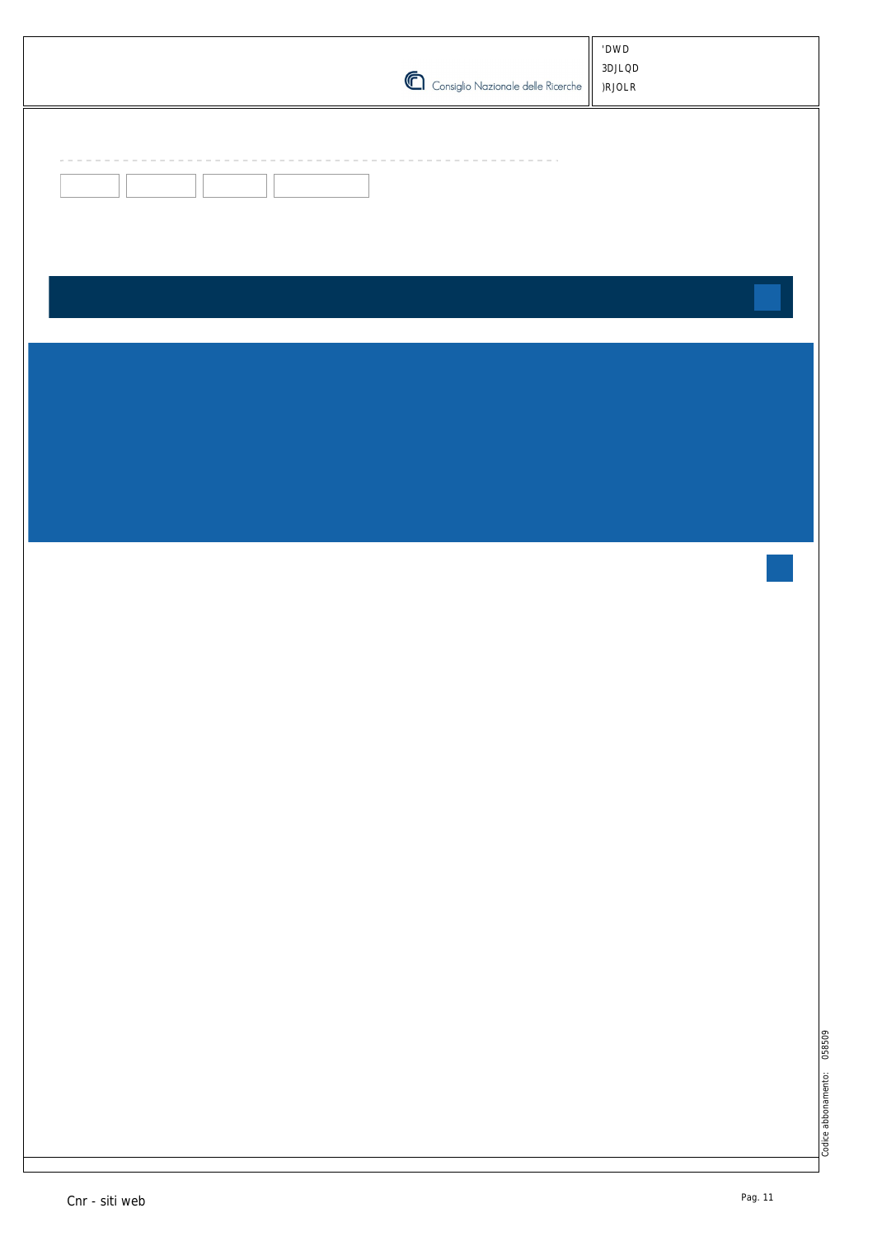|                     | $8$772/, 8$1(:6, 7:$ : (%)                                                        |                                     | Consiglio Nazionale delle Ricerche                                                    |  |
|---------------------|-----------------------------------------------------------------------------------|-------------------------------------|---------------------------------------------------------------------------------------|--|
|                     |                                                                                   | GHOOH QDQRWHFQRORJLH H GHOOD VDOXWH |                                                                                       |  |
| $*5$$ )(1(          | $68 + (1752)$<br>\$1\$720, \$                                                     | $1$ \$ 1 2 7 ( & 1 2 / 2 $^*$ ,     |                                                                                       |  |
|                     |                                                                                   |                                     |                                                                                       |  |
|                     |                                                                                   |                                     |                                                                                       |  |
|                     | , VFULYLWL DOOD QHZVOHWWHU                                                        |                                     |                                                                                       |  |
|                     | & D W W R O L F D 1 H Z V                                                         |                                     |                                                                                       |  |
|                     | \$WHQHR<br>0LODQR <b>Andrew Street</b><br>%UHVFLD<br>3LDFHQ]D<br>& UHPRQD<br>5RPD | /DXUHDWL 3UHVHQ]D<br>6WXGHQWL       | 6WXGL H ULFHUFKHWLWXWR 7RQLF<br>& RUVL H PDVWHU5DSSRUWR JLRYI<br>ODJJLQH<br>) HHG 566 |  |
| & R S \ U L J K W < |                                                                                   |                                     | 8QLYHUVLWj & DWWROLFD GHO 6DFUR & XRUH 7XWWL L GLULWWL ULVHUYDWL                      |  |
|                     |                                                                                   |                                     |                                                                                       |  |
|                     |                                                                                   |                                     |                                                                                       |  |
|                     |                                                                                   |                                     |                                                                                       |  |
|                     |                                                                                   |                                     |                                                                                       |  |
|                     |                                                                                   |                                     |                                                                                       |  |
|                     |                                                                                   |                                     |                                                                                       |  |
|                     |                                                                                   |                                     |                                                                                       |  |
|                     |                                                                                   |                                     |                                                                                       |  |
|                     |                                                                                   |                                     |                                                                                       |  |
|                     |                                                                                   |                                     |                                                                                       |  |
|                     |                                                                                   |                                     |                                                                                       |  |
|                     |                                                                                   |                                     |                                                                                       |  |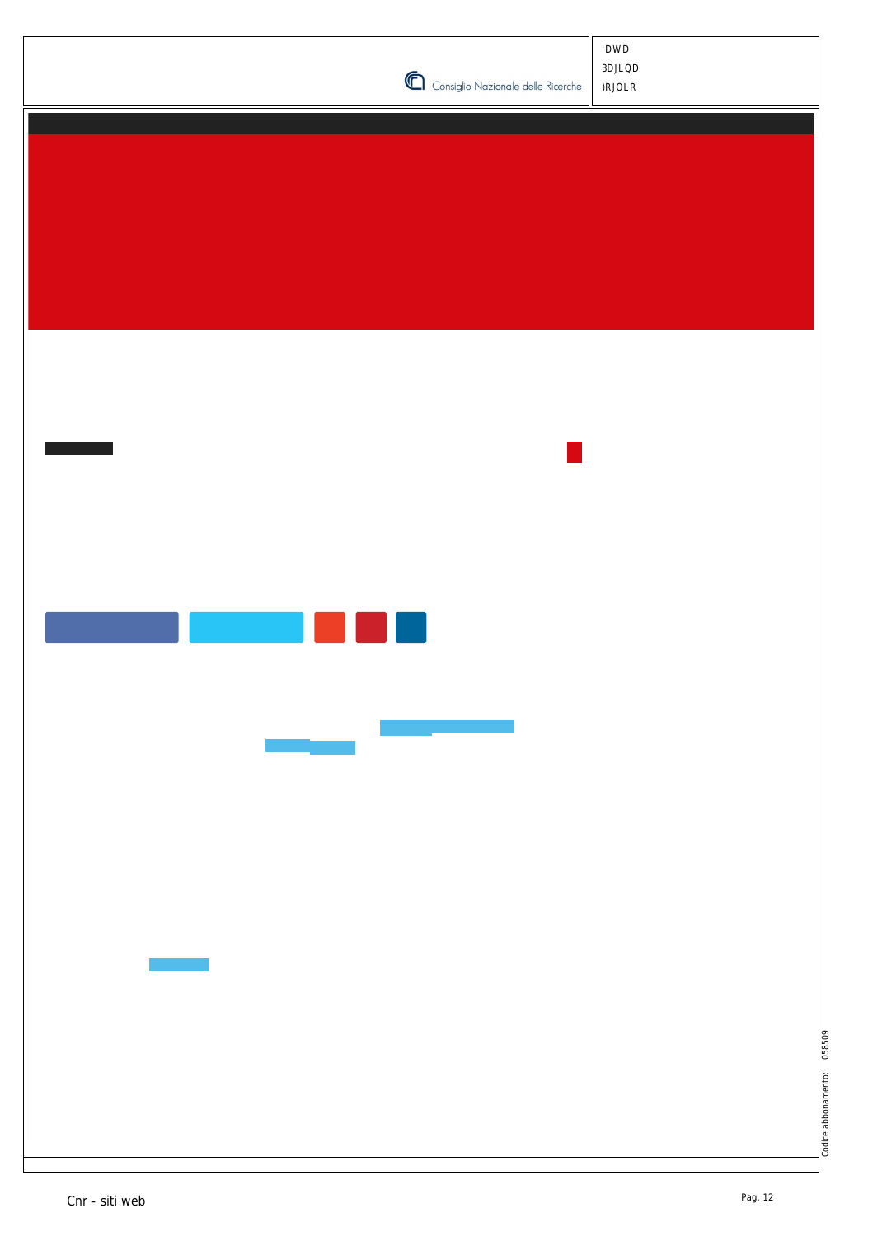<span id="page-11-0"></span>75\$77\$0(17,(),1,785(,7

Considio Nazionale delle Ricerche

& JK UKC®QPVCVV\$CDEDKQPCVK CNN.6KDTTKKXKGUOVCR®UTCUNKK QPYQKYFPGNQCF

 $/(48\$6164\$66\$/(06\textcircled{3}.8\$0\textcircled{3}\&\textcircled{4}\textcircled{8}(56\textcircled{6}/(06\textcircled{3}016(\textcircled{8}01.1^*\textcircled{8}(\textcircled{4}0\textcircled{8}\&\textcircled{3}\&\textcircled{5}724\textcircled{4}1'166\textcircled{3}\&551\&\textcircled{3}\&<\textcircled{0}10\textcircled{6}$ 

#### $014/$608$$

OCPQVGEP

+QOG OCPQVGEPQNQIIKKGVVK FK ITCHGPG EQOG UVCORK RGT EQUVTWKTG PWQXG RTQVGUK QUUGG RGTUQPCNK

# $($ \*\*Ø.\$408056\$ ) QINKGVVK FK ITCHGPG EQOG UVCORK RGT EQUVTWKTG PWQX(

RTQVGUK QUUGG RGTUQPCNKIIC

TGFC\KQPGGPPCKQ

& Q P F K X K F K U W

4KEGTECVQTK FGNNC )CEQNV. FK OGFKEKPC G EJKTWTIKC FGNNÆ7PKXGTUKV• & CVVQNKEC FGN 5CETQ & WQTG FK 4QOC KP EQNNCDQTC\KQPG EQP GURGTVK FGNNÆØUVKVWVQ FGK UKUVGOK EQORNGUUK FGN & QPUKINKQ PCIKQERENGNEGNAG TKEGTØLLTFK 4QOC JCPPQ UXKNWRRCVQ ÅHQINK PCPQVGEPONQIKEKÆRGT EQUVTWKTG PWQXQ VGUUWVQ QUUGQ EJG WP IKOTPO ROVT. GUUGTG WUCVO UW RC\KGPVK RGT NC TKEQUVTW\KQPG RGTUQPCNK\\CVC FK RCTVK NGUKQPCVG FGN NQTQ UEJGNGVTQ Ø HQINK FK ITCHGPG HWP\KQPCPQ EQOG UVCORK KP ' UW EWK RTGPFG HQTOC KN PWQXQ QUUQ .C HKIWTC UWNNQ UVCORQ ¥ KPEKUC FC WP TCIIKQ NCUGT G UK RW<sup>-</sup> RGTUQPCNK\\CTG C UGEQPFC FGNNC HQTOC EJG UK

XWQNG QVVGPGTG

ØN TKUWNVCVQ UK FGXG CN VGCO FK / CUUKOKNKCPQ 2CRK FGNNÆØUVKVWVQ FK HKUKEC KPUKGOG CN FKIGVVQTG FGNNÆØUE & PT & NOW FGNDK COREV GF ¥ UVCVQ TGUQ PQVQ UW TKXKUVC UEKGPVKHKEC KPVGTPC\KQPCNG RGGT TGXKGYGF EJG UK QEEWRC FK PWQXG CF OCVGTKCNK DKFKOGPUKOPCNK EQOG KN ITCHGPG

.ÆWUQ FK SWGUVK HOINK FK ITCHGPG KP ECORO ENKPKEQ ROVTGDDG DGPGHKEKCTG CPE RTQRTKGV• CPVKDKQVKEJG FGNNÆQUUKFQ FK ITCHGPG EØN RQVGTG CPVKDKQVKEQ TCRF WNVGTKQTG XCPVCIIKQ FK SWGUVQ VKRQ FK OCVGTKCNGÉ URKGIC KN RTQHGUUQT 2CRK EQPVTQNNCTG K RTQEGUUK QUVGQIGPKEK KN ITCHGPG RQUUKGFG CPEJG WPC PCVWTCNG CPVKDCVVGTKEC 3WGUVQ ¥ RCTVKEQNCTOGPVG KPVGTGUUCPVG RGTEJ¦ WPQ FGK RTQDNC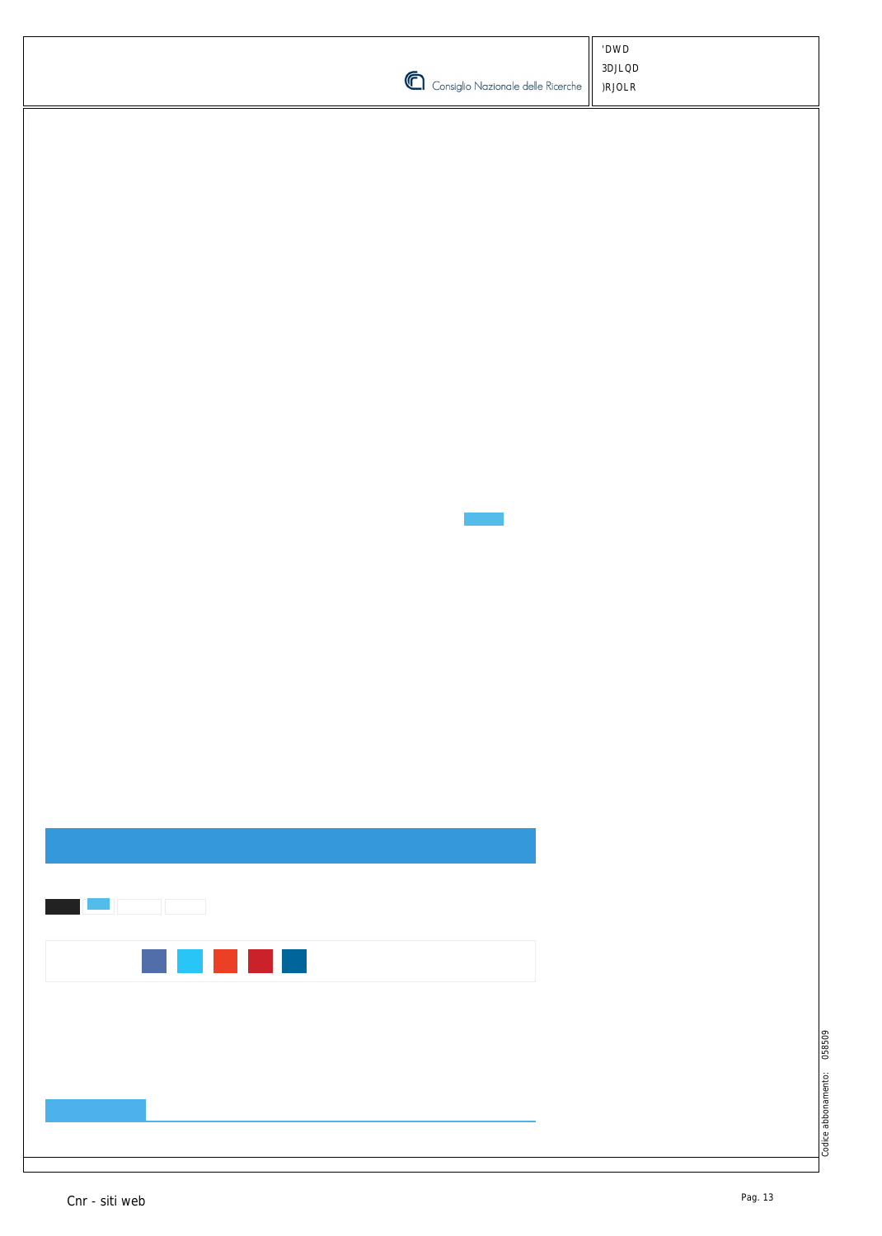## 75\$77\$0(17,(),1,785(,7

SWCPFQ UK KPUGTKUEG KP WP QTICPKUOQ WP OCVGTKCNG UKPVGVKEQ ¥ NÆKPUQTIGP\C QRGTCVQTKGÉ

.C UEQRGTVC ¥ UVCVC CPEJG EKKRQVGEKLPY WERXOKTUMKCE QURQIKLPWG FGNNÆØUVKVWVQ FK HKUKFC FGN 4GIPO 7PKVO ØOR

È.G EGNNWNG OGUGPEJKOCNK UVTQOCNK OUE UQPQ NG EGNNWNG UVCOKPCNK KUQNCVC KPFKXKFWQ CFWNVQ KP ITCFQ FK TKRCTCTG QUUC G ECTVKNCIKPG OC CPEJG VGUUWVQ XCUKÉ URKGIC 9CPFC .CVVCP\K TKEGTECVQTG FGNNÆØUVKVWVQ FK CPCVQOKC WOCPC ( FGNNÆ7PKXGTUKV• & CVVQNKEC EJG JC EQNNCDQTCVQ CNNQ UVWFKQ

\*NK GURGTVK FGNNÆ7PKXGTUKV• & CVVONKEC UK UOPO TGUK EOPVO EJG C UGEOPFC FGN UVCORQ KORTGUUC UWN HQINKQ FK ITCHGPG EQP KN TCIIKQ NCUGT SWGUVG EGNNWNG L FGRQUKVCPQ UWN HQINKQ HQTOCPFQ PWQXQ QUUQ KP OQFQ QTFKPCVQ 2K¶ RTGEKUCOG NCUGT JC KPEKUQ KN HQINKQ NG UVCOKPCNK UK CEEWOWNCPQ G HQTOCPQ QUUQ NCFF( KPEKUQ FCN NCUGT NG UVCOKPCNK PQP UK VTCUHQTOCPQ KP EGNNWNG ÅOCVWTGÆ ØN VTCVVCOGPVK EQP CIGPVK EJKOKEK RGTOGVVG FK ÅFKUGIPCTGÆ UWNNC UWRGTHKEKG F RTQHKNQ G OQFWNCTG FK EQPUGIWGP\C FQXG UK CXT• RK¶ OCVGTKCNG QUUGQ

È5K VTCVVC FK WPC UQTRTGPFGPVG CRRNKEC\KQPG FGNNC RTQRCIC\KQPG FK NWEG NCU( EQORNGUUK EQP KORQTVCPVK CRRNKEC\KQPK KP ECORQ OGFKEQÉ EQOOGPVC KN FKTGV &NCWFKQ &QPVK

È.C ROUUKDKNKV• FK OQFWNCTG URC\KCNOGPVG NC EQORQPGPVG QUUGC RGTOGVVGTGDD FKUGIPCTG VGUUWVK CF JQE QXXGTQ ÅRGTUQPCNK\\CVKÆ C UGEQPFC FGN VKRQ FK GUKI RCVQNQIKEC FGN UKPIQNQ RC\KGPVGÉ CIIKWPIG /CUUKOKNKCPQ 2CRK ØUVKVWVQ FK HK &CVVQNKEC FGN UCETQ &WQTG È 0GN PQUVTQ NCXQTQ CDDKCOQ FKOQUVTCVQ EJG ¥ R( EQPVTQNNCTG KN OQFQ KP EWK NG EGNNWNG UVCOKPCNK OKITCPQ UK QTKGPVCPQ  $U K$ Å OCVWTCPQÆ UW WPC UWRGTHKEKG CRRQUKVCOGPVG RTQIGVVCVC EQP WPQ URGEKHKEQ PQUVTC UVTCVGIKC RQVTGDDG TKXQNW\KQPCTG NC OGFKEKPC G NC EJKTWTIKC TKIGPGTC EQPUGPVG FK RTQIGVVCTG WPC UVTWVVWTC QUUGC RGTUQPCNK\\CVC UW WPC UWRGTHKEI

. ÆCWURKEKQ ¥ EJG K TKUWNVCVK FK SWGUVC TKEGTEC UWK OCVGTKCNK CUUQEKCVC EQ EGNNWNG UVCOKPCNK ROTVKPO C WPC PWOXC ENCUUG FK PCPOOCVGTKCNK EQP RTORTK PQVGXQNG KORCVVQ PGN UGVVQTG FGNNG PCPQVGEPQNQIKG G FGNNC UCNWVG

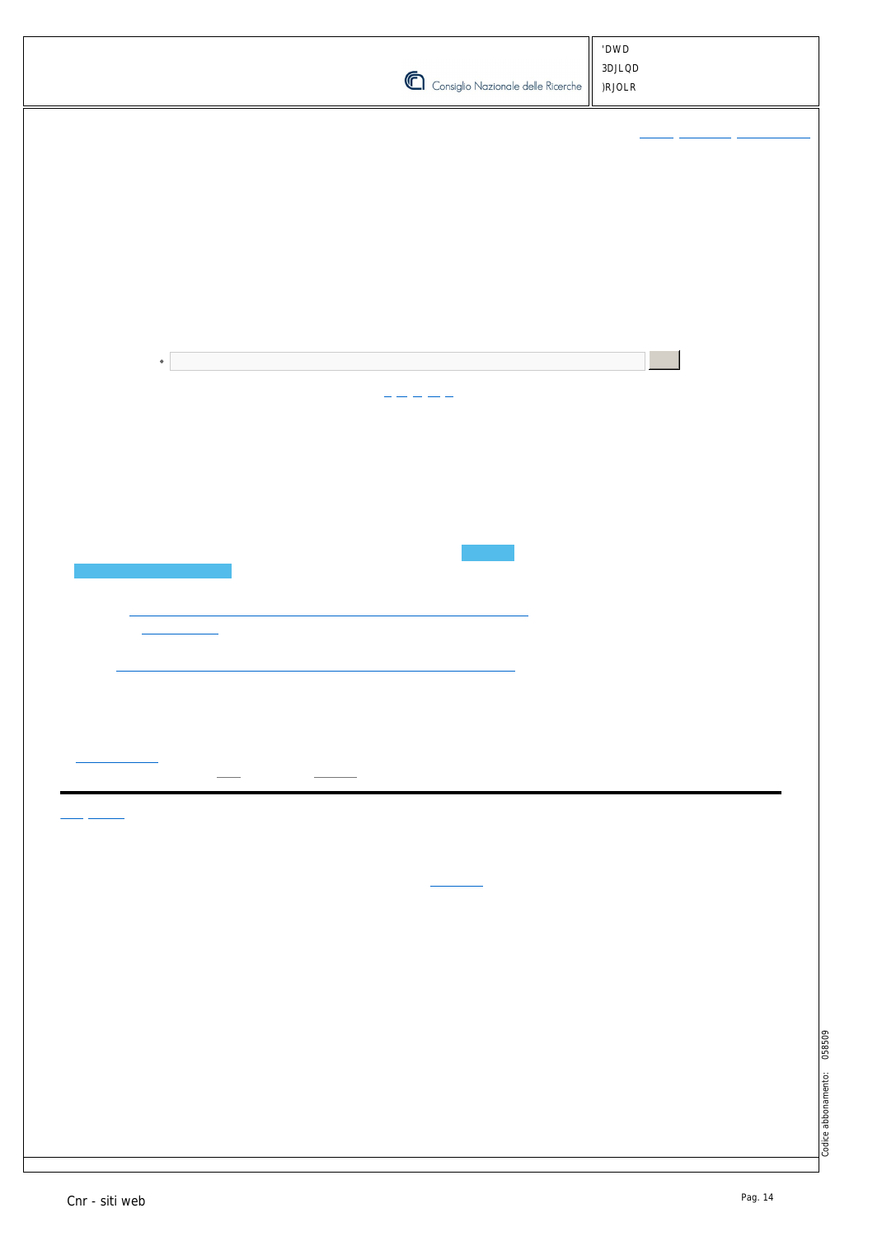<span id="page-13-0"></span>

| /(82120, 821(7         | Consiglio Nazionale delle Ricerche                                                                                  |                                    |
|------------------------|---------------------------------------------------------------------------------------------------------------------|------------------------------------|
|                        |                                                                                                                     | <u>FRQ WIDGF WHU WDLOVOL XQCFL</u> |
|                        | /LQN VSRQVRUL]]DWL                                                                                                  |                                    |
|                        |                                                                                                                     |                                    |
|                        |                                                                                                                     |                                    |
|                        |                                                                                                                     |                                    |
|                        |                                                                                                                     |                                    |
|                        |                                                                                                                     |                                    |
|                        |                                                                                                                     |                                    |
| ۰                      | FHU                                                                                                                 |                                    |
|                        | L <u>WG HH VX NI</u> U                                                                                              |                                    |
|                        |                                                                                                                     |                                    |
| SHUVRQDOL]]DWH         | ) RJOLHWWL GL JUDIHQH FRPH VWDPSL SHU FRVWUXLUH S                                                                   | / LQN VSRQVRUL]] DWL               |
|                        | ) RJOLHWWL GL JUDIHQH FRPH VWDPSL SHU FRVWUXLUH SURWHVL RVVHH SHL                                                   |                                    |
|                        | 6YLOXSSDWL GD ULFHUFDWRUL GHOO¶ 8QLYHUVLWj &DWWROLFD LQ FROODERI<br>1DJLRQDOH GHOOH 5LFHUFKH , 6& GL 5RPD           |                                    |
| SURYLHOH) GOR 2QOLQH   | /   DUWLEROORHWWL GL JUDIHQH FRPH VWDPSL SHU FRVWUXLUH SURWHVL RVVF                                                 |                                    |
|                        | 6RXURHOLHWWL GL JUDIHQH FRPH VWDPSL SHU FRVWUXLUH SURWHVL RVVHF                                                     |                                    |
| /LQN VSRQVRUL]]DWL     |                                                                                                                     |                                    |
| <b>DQQXQFLJUDWXLWL</b> | 4 X H V W D Y R F H q V W DONDDW SEXTEDE VOLUE DISWHELUE CODO LOQ N                                                 |                                    |
| <b>FRRSWLYDF\</b>      |                                                                                                                     |                                    |
|                        | , O VLWR XWLOL]]D FRRNLH SHU PLJOLRUDUH OD WXD HVSHULHQ]D GL QDYLJD]LRQH FOLFFDQGR<br><b><i>SFFHS WHDG ORUH</i></b> |                                    |
|                        |                                                                                                                     |                                    |
|                        |                                                                                                                     |                                    |
|                        |                                                                                                                     |                                    |
|                        |                                                                                                                     |                                    |
|                        |                                                                                                                     |                                    |
|                        |                                                                                                                     |                                    |
|                        |                                                                                                                     |                                    |
|                        |                                                                                                                     |                                    |
|                        |                                                                                                                     |                                    |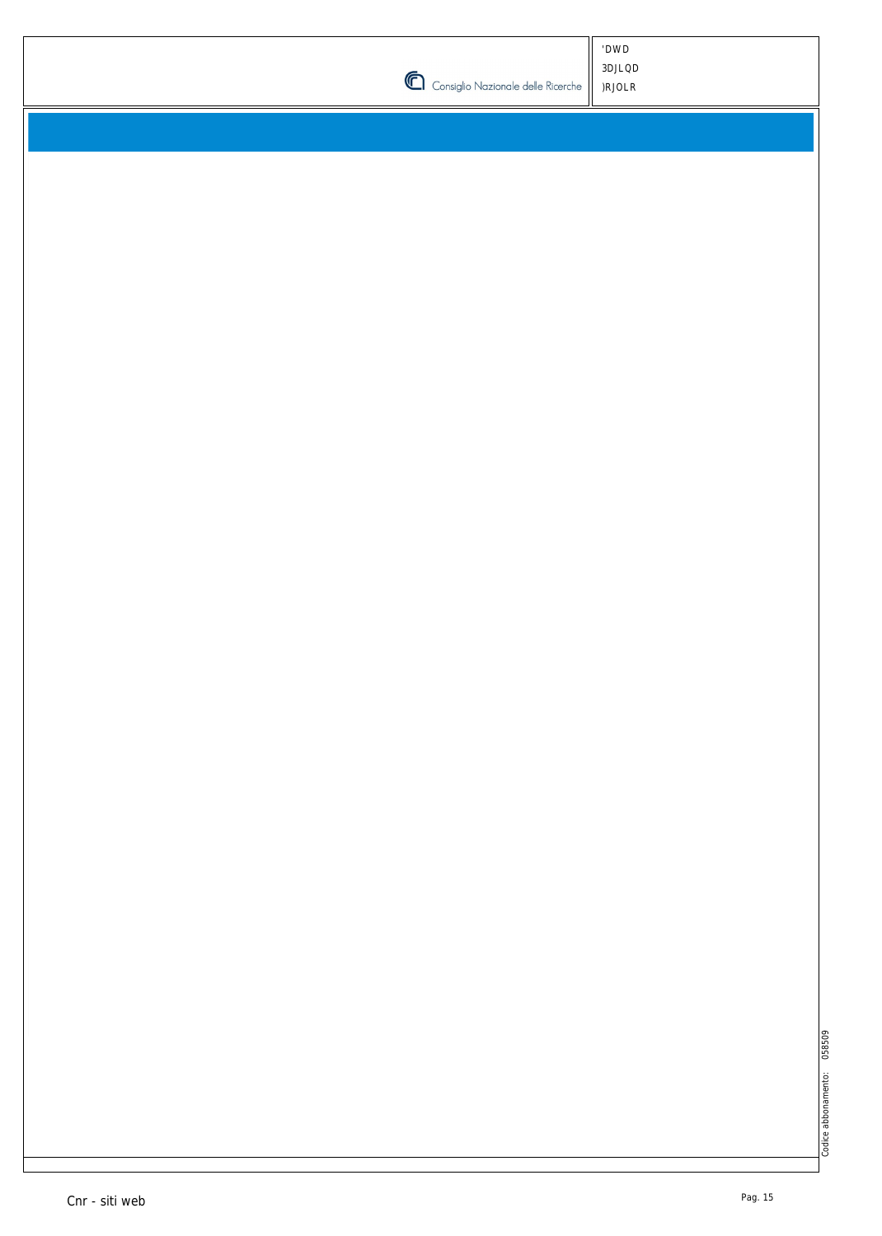



<span id="page-14-1"></span><span id="page-14-0"></span> $5 $.76($ 



 $2 * GP$ F / KP 4GCF

G RTQVGUK UQPQ EQORQPGPVK CVVG C UQUVKVWKTG KP RCTVG Q FGN EQTRQ WOCPQ EQOG WP CTVQ Q WPC HCNCPIG RGT ECWUG CE ECWUG EQPIGPKVG TGUVKVWGPFQ KOOCIKPG EQTRQTGC G HWP\KQ **\$PIGNC 5QTTGPVKPQ** 

.C UQUVKVW\KQPG KPVGITC\KQPG G Q TKIGPGTC\KQPG FGK VGUUWVK è PGWTQEJKTWTIKC NC EJKTWTIKC TKEQUVTWVVKXC G NGNEVKTEWKIKCTF \$FF &QOOGPVQTVQRGFKEC INK KORKCPVK QUUGK UQPQ NCTICOGPVG WUCVK PGI QUVGQCTVTKVG HTCVVWTG QUVGQRQTQVKEJG G VTCWOCVKEJG (  $\Omega$ QUVGQOKGNKVG GOCVQIGPKEC HTCVVWTG CRGTVG KORKCPVK OG URQPFKNQFKUEJKVK

5 J C T G 6 J K U

#### ,N OCVGTKCNG WVKNK\\CVQ PGNNC EQUVTW\KQPG FGN OCPWHCVVQ R1

6 TC K R T K O K X K U Q P Q N T C E E K C K Q N G I J G V FK W CERNO OD R V Q REKTJO, ENO W U Q O RGTEJ¦ WVKNK\\CDKNG KP EJK RTGUGPVC CNNGTIKC CK OGVCNNK EQUVQUK OC KP ETGUEGPVG UXKNWRRQ FK UVWFKQ GF WVKNKIIQ

6TC K PQP OGVCNNKEK XK UQPQ NC EGTCOKEC G KN RQNKGVKNGPG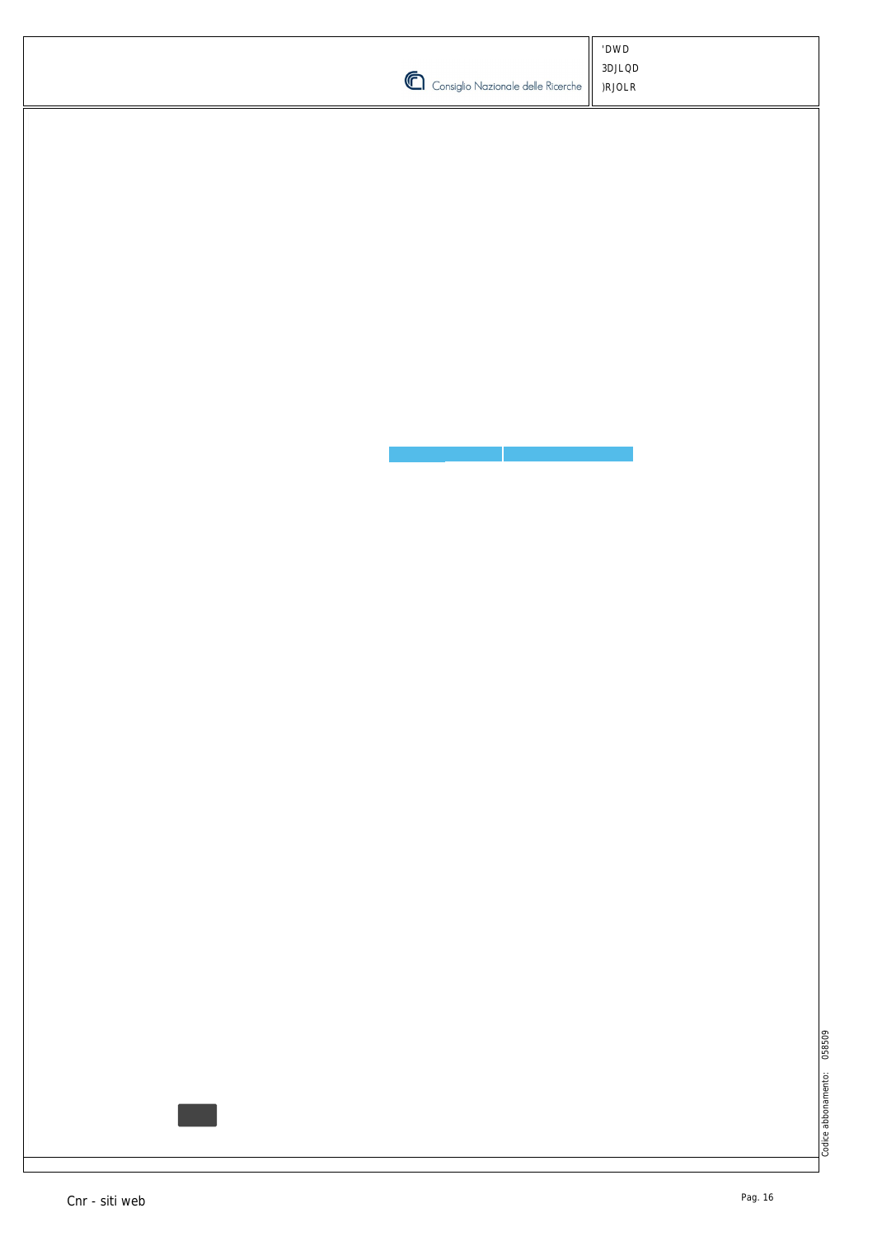/C ET¥ CPEJG WPC PWQXC QRRQTVWPKV• EJG FKXGFKVGKTE GTGEXONV@TRGN FK OGFKEKPC G EJKTWTIKC FGNNT7PKXGTUKV. & CVVQNKEC FGN 5CE FGNNT, UVKVWVQ FGK UKUVGOK EQORNGUUK FGN & QPUKINKQ PC\KQF UXKNWRRCVQ SHQINK PCPQVGEPQNQIKEKT RGT EQUVTWKTG PWQXQ RC\KGPVK RGT NC TKEQUVTW\KQPG RGTUQPCNK\\CVC FK RCTVK NGL

6CNK HQINK KPHCVVK UQPQ FQVCVK FK WPTKPETGFKDKNG VGEPQN EQORNGVCOGPVG PWQXQ EJG RQVT. GUUGTG CFQRGTCVQ CNNQ UE RGTUQPCNK\\CVC WPC \QPC FGN EQTRQ WOCPQ RTGEGFGPVGOGPVG

SPPEJ; KN RTQFQVVQ UKC FCXXGTQ RGTUQPCNK\\CDKNG CN K H UQTVC FK UVCORQ KP VTKFKOGPUKQPG EJG RNCUOGT• NTQUUQ GUC PGEGUUCTKG C WP KPFKXKFWQ

'ORO EJG KN TCIIKO NCUGT JC KORTGUUO NC HOTOCNFNGWUNGF COTOLOGO E UVTQOONE UK FGRQUKVCPQ UWN HQINKQ HQTOCPFQ WP QUUQ EQO RGTHGVVCOGPVG QTFKPCVC % KPVGTGUUCPVG PQVCTG EJG NG UV QUUQ UQNQ FQXG KN NCUGT JC KPEKUQ KN HQINKQ

. TKPETGFKDKNG TKUWNVCVQ QVVGPWVQ ¥ UVCVQ TGUQ PQVQ UW TGXKGYGF EJG UK QEEWRC FK PWQXG CRRNKEC\KQPK FGK OCVGTKC

.TWUQ FGK HQINK FK ITCHGPG KP ECORQ ENKPKEQ RQVTGDDG DGPGcE FGNNTQUUKFQ, FAKAQO'HGGEGCPVKDKQVKEQ TCRRTGUGPVC SWKPFK W OCVG TWK CWN ESSIGN RTQHGUUQT 2CRK FGNNT, UVK YAWHACOV WE QWWEG E K RTQEGUUK QUVGQIGPKEK KN ITCHGPG RQUUKGFG CPEJG WPC PC RCTVKEQNCTOGPVG KPVGTGUUCPVG RGTEJ¦ WPQ FGK RTQDNGOK R1 OCVGTKCNG UKPVGVKEQ ¥ NTKPUQTIGNP\C FK KPHG\KQPK RQUV QRG

VG EGNNWNG OGUGPEJKOCNK UVTQOCNK OUE UQPQ NG EGNNWNG KP ITCFQ FK TKRCTCTG QUUC G ECTVKNCIKPG OON CPLEJGGINKGNUPUNQUYGQ 0585 .CVVCP\K TKEGTECVQTG FGNNT, UVKVWVQ FK CPCVQOKC WOCPC G I EQNNCDQTCVQ CNNQ UVWFKQ Codice abbonamento:

 $6C1$ 2TQVGUK QUUGG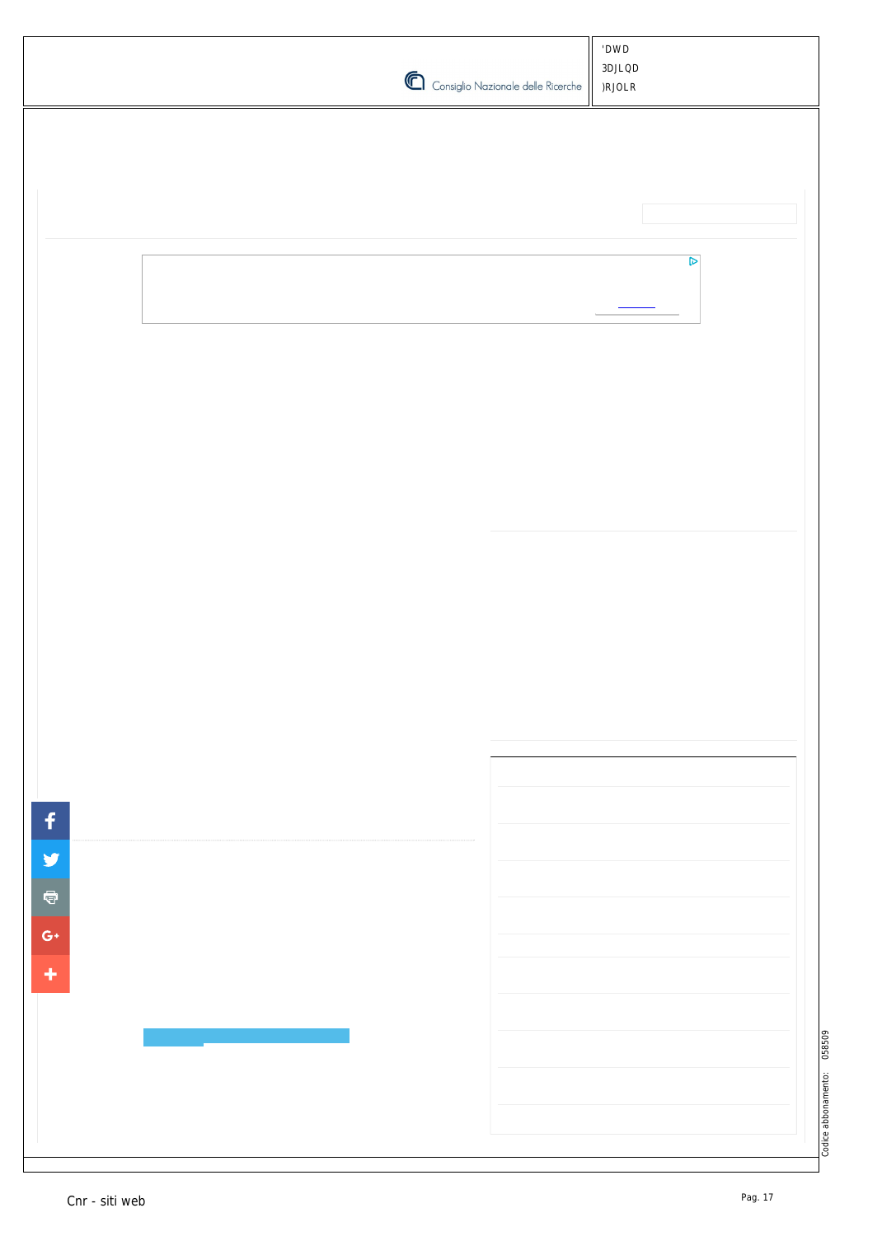<span id="page-16-0"></span>

| 7%098)<br>D<br>OGailS<br>6DOXW7HFQRORJLD<br>7XEQTM ( EVVMZERS PI RYSZI TVS<br>QIHMGMRE<br>6FLHQ]LDWL LWDOLDQL VFRSURQR FRPH SURGXUUH SU<br>SURGRWWH FRQ FHOOXOH VWDPLQDOL H IRJOL GL JUD<br>$*, 29('1$ $*(11\$ , 2)<br>$67()$ \$1,\$ ' $($ / 35,1&,3(<br>$.3.\hat{O}9.67.$<br>ODQJLD VHPSUH VXVKL H L PHGLFL JOL WU<br>GXH PHWUL QHOO¶LQWHVWLQR<br>3 URWHVL SHUVRQDOL]]DWH JUD]LH D322 1J14 D67180.12 H 60+8771 660728H&2WDPL GBPKHLPHU HFFR LO WUDWWDPHQWR QRQ<br>UHVWLWXLVFH OD PHPRULD<br>$\blacktriangleright$<br>OL VWDPSL LQ 'H O¶LQQRYD]LRQH LQ PHG,QWLQQPQWH\REFUQQRUHULYUMUHHU<br>$\Rightarrow$<br>KH OH GXH WHFQRORJLH SRVVDQR HVVHUH <sub>SKJ</sub> HA&WWQRYKHJ&HULQIQXHQID QDWWLRXIS<br>G+<br>URWHVL GL XOWLPLVVLPD JHQHUD]LRQH<br>∩ฅ╳ิษ©ฅํฃ฿๚๚ฅ๚๚๚ฃๅ๚ฅ๚® <sup>Ӏ</sup> ҂฿ฃๅ๚๙๚ๅ๚<br>RJOL GL JUDIHQH \$UHDOL]]DUH L SULPL SURWERLWALSHLPSURGLRFNGMADJWLLQDVOGT.<br>÷<br>ULFHUFDWRUL GHOOD )DFROWj GL PHGLFLQD <sup>DQFKH</sup> KL <sup>E</sup> DXUSLYBL&HOO¶8QLYHL<br>DQQL PXRUH GRSR O LQLJLR<br>%DPELQR GL<br>& D W W R O L F D G H O 6 D F U R & X R U H L Q F R O O D E R U D J W R Q H D F R Q D Q T , V W L W X W R<br>FRPSOHVVL GHO & RQVLJOLR QD]LRQDOH GHQWLHDULLOFVH[UNFRK HKHGSLUH5IRUPYDHLOPHI<br>DQWLDJH H ULDFFHQGH OD VHVVXDOLWj<br>) RJOL QDQRWHFQRORJLFL<br>, ULFHUFDWRUL LWDOLDQL VRQR ULXVFLWL BHWYLD<br>SURGR WORRGALH FOR TO REJROVHQ WLUJ GL FR VWUXLUH XQ WHVVXWR | Consiglio Nazionale delle Ricerche   |
|-----------------------------------------------------------------------------------------------------------------------------------------------------------------------------------------------------------------------------------------------------------------------------------------------------------------------------------------------------------------------------------------------------------------------------------------------------------------------------------------------------------------------------------------------------------------------------------------------------------------------------------------------------------------------------------------------------------------------------------------------------------------------------------------------------------------------------------------------------------------------------------------------------------------------------------------------------------------------------------------------------------------------------------------------------------------------------------------------------------------------------------------------------------------------------------------------------------------------------------------------------------------------------------------------------------------------------------------------------------------------------------------------------|--------------------------------------|
|                                                                                                                                                                                                                                                                                                                                                                                                                                                                                                                                                                                                                                                                                                                                                                                                                                                                                                                                                                                                                                                                                                                                                                                                                                                                                                                                                                                                     |                                      |
|                                                                                                                                                                                                                                                                                                                                                                                                                                                                                                                                                                                                                                                                                                                                                                                                                                                                                                                                                                                                                                                                                                                                                                                                                                                                                                                                                                                                     |                                      |
|                                                                                                                                                                                                                                                                                                                                                                                                                                                                                                                                                                                                                                                                                                                                                                                                                                                                                                                                                                                                                                                                                                                                                                                                                                                                                                                                                                                                     |                                      |
|                                                                                                                                                                                                                                                                                                                                                                                                                                                                                                                                                                                                                                                                                                                                                                                                                                                                                                                                                                                                                                                                                                                                                                                                                                                                                                                                                                                                     |                                      |
|                                                                                                                                                                                                                                                                                                                                                                                                                                                                                                                                                                                                                                                                                                                                                                                                                                                                                                                                                                                                                                                                                                                                                                                                                                                                                                                                                                                                     |                                      |
|                                                                                                                                                                                                                                                                                                                                                                                                                                                                                                                                                                                                                                                                                                                                                                                                                                                                                                                                                                                                                                                                                                                                                                                                                                                                                                                                                                                                     |                                      |
|                                                                                                                                                                                                                                                                                                                                                                                                                                                                                                                                                                                                                                                                                                                                                                                                                                                                                                                                                                                                                                                                                                                                                                                                                                                                                                                                                                                                     |                                      |
|                                                                                                                                                                                                                                                                                                                                                                                                                                                                                                                                                                                                                                                                                                                                                                                                                                                                                                                                                                                                                                                                                                                                                                                                                                                                                                                                                                                                     |                                      |
|                                                                                                                                                                                                                                                                                                                                                                                                                                                                                                                                                                                                                                                                                                                                                                                                                                                                                                                                                                                                                                                                                                                                                                                                                                                                                                                                                                                                     |                                      |
|                                                                                                                                                                                                                                                                                                                                                                                                                                                                                                                                                                                                                                                                                                                                                                                                                                                                                                                                                                                                                                                                                                                                                                                                                                                                                                                                                                                                     |                                      |
|                                                                                                                                                                                                                                                                                                                                                                                                                                                                                                                                                                                                                                                                                                                                                                                                                                                                                                                                                                                                                                                                                                                                                                                                                                                                                                                                                                                                     |                                      |
|                                                                                                                                                                                                                                                                                                                                                                                                                                                                                                                                                                                                                                                                                                                                                                                                                                                                                                                                                                                                                                                                                                                                                                                                                                                                                                                                                                                                     |                                      |
|                                                                                                                                                                                                                                                                                                                                                                                                                                                                                                                                                                                                                                                                                                                                                                                                                                                                                                                                                                                                                                                                                                                                                                                                                                                                                                                                                                                                     |                                      |
|                                                                                                                                                                                                                                                                                                                                                                                                                                                                                                                                                                                                                                                                                                                                                                                                                                                                                                                                                                                                                                                                                                                                                                                                                                                                                                                                                                                                     |                                      |
|                                                                                                                                                                                                                                                                                                                                                                                                                                                                                                                                                                                                                                                                                                                                                                                                                                                                                                                                                                                                                                                                                                                                                                                                                                                                                                                                                                                                     |                                      |
|                                                                                                                                                                                                                                                                                                                                                                                                                                                                                                                                                                                                                                                                                                                                                                                                                                                                                                                                                                                                                                                                                                                                                                                                                                                                                                                                                                                                     |                                      |
|                                                                                                                                                                                                                                                                                                                                                                                                                                                                                                                                                                                                                                                                                                                                                                                                                                                                                                                                                                                                                                                                                                                                                                                                                                                                                                                                                                                                     |                                      |
|                                                                                                                                                                                                                                                                                                                                                                                                                                                                                                                                                                                                                                                                                                                                                                                                                                                                                                                                                                                                                                                                                                                                                                                                                                                                                                                                                                                                     |                                      |
|                                                                                                                                                                                                                                                                                                                                                                                                                                                                                                                                                                                                                                                                                                                                                                                                                                                                                                                                                                                                                                                                                                                                                                                                                                                                                                                                                                                                     |                                      |
|                                                                                                                                                                                                                                                                                                                                                                                                                                                                                                                                                                                                                                                                                                                                                                                                                                                                                                                                                                                                                                                                                                                                                                                                                                                                                                                                                                                                     | QIOXHQID OD SHJJLRUH GHJOL XOWLPL D( |
|                                                                                                                                                                                                                                                                                                                                                                                                                                                                                                                                                                                                                                                                                                                                                                                                                                                                                                                                                                                                                                                                                                                                                                                                                                                                                                                                                                                                     |                                      |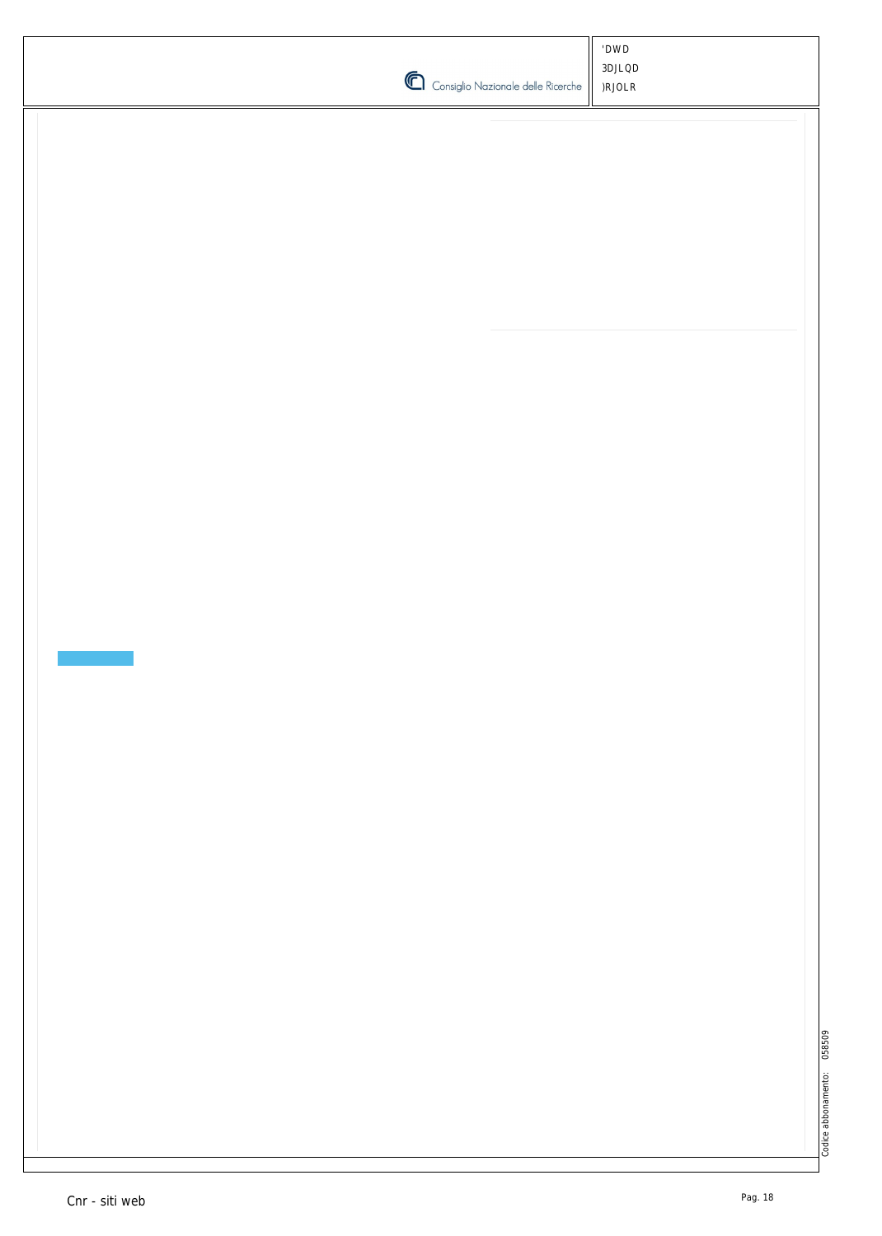V F

VН

R

C

J (

#### \$SSOLFDILRQL VRUSUHQGHQWL

#### DPDWXUDUH

&RPH IXQILRQDOH 'RSR FKH LO UDJJLR ODVHU KD LPSUHVVR OD IRUPD GHVLGHUDWD VXO IF JUDIHQH OH FHOOXOH PHVHQFKLPDOL VWURPDOL PVF VL GHSRVLWDQ IRJOLR IRUPDQGR XQ RVVR FRPSOHWDPHQWH QXRYR H LQ PDQLHUD SHUIHWWDPHQWH RUGLQDWD Ê LQWHUHVVDQWH QRWDUH FKH OH VWDP DFFXPXODQR H ULHVFRQR D IRUPDUH XQ RVVR VROR GRYH LO ODVHU KI LO IRJOLR \$0 FRQWUDULR GRYH QRQ F¶q O¶LQFLVLRQH OH FHOOXOH Q Codice abbonamento

#### VFKHOHWULFKH

& HOOXOH VWDPLQDOL ©/H FHOOXOH PHVHQFKLPDOL VWURPDOL PVF VRQR OH FHOOXOH VWDP LVRODWH GD WHVVXWL GL XQ LQGLYLGXR DGXOWR LQ JUDGR GL ULSDUI FDUWLODJLQH PD DQFKH WHVVXWR DGLSRVR PXVFROL H YDVL<sup>a</sup> KD GLF :DQGD /DWWDQ1L ULFHUFDWRUH GHOO¶, VWLWXWR GL DQDWRPLD XPDQD ELRORJLD FHOOXODUH GHOO¶8QLYHUVLWj &DWWROLFD FKH KD FROODE! VWXGLR (G q SURSULR JUD]LH D WDOL FHOOXOH FKH VL SRWUDQQR DYH GLVSRVL]LRQH RVVD FRPH QXRYH QHL VRJJHWWL DIIHWWL GD OHVLRQL

#### GHOOT, VF & QU & ODXGLR & RQWL

9 L U W · D Q W L E D W W H U L F K H 6HFRQGR TXDQWR ULSRUWDWR UHFHQWHPHQWH VXOOD ULYLVWD VFLHQ ODWHULDOV LO JUDIHQH SRWUHEEH DQFKH HVVHUH XWLOL]]DWR DOOR VIUXWWDUH GHOOH VXH YLUW. DQWLEDWWHULFKH ©,O SRWHUH DQWLEL UDSSUHVHQWD TXLQGL XQ XOWHULRUH YDQWDJJLR GL TXHVWR WLSR G PDWHULDOH, QIDWWL ROWUH D FRQWUROODUH L SURFHVVL RVWHRJHQL SRVVLHGH DQFKH XQD QDWXUDOH DWWLYLWj DQWLEDWWHULFD 4XHVWR SDUWLFRODUPHQWH LQWHUHVVDQWH SHUFKp XQR GHL SUREOHPL SULQF TXDQGR VL LQVHULVFH LQ XQ RUJDQLVPR XQ PDWHULDOH VLQWHWLFR q O¶LQVRUJHQID GL LQIHILRQL SRVW RSHUDWRULH<sup>a</sup> VSLHJD 0DVVLPLOLDC GHOO¶, VWLWXWR GL ILVLFD GHOO¶8QLYHUVLWj &DWWROLFD LQVLHPH DC

6WDPSLLQ ' \$IILQFKp LO SURGRWWR VLD GDYYHUR SH JUDIHQH YHQJRQR XWLOL]]DWL FRPH XQD WULGLPHQ \SLOFDQVIFFOFORFIV VR HVDWWDPHQWH-GLPHQVLRQL QHFHVVDULH D XQ LQGLYLGXR

 $\begin{array}{c} \n \overline{1} & \overline{1} & \overline{1} & \overline{1} & \overline{1} & \overline{1} & \overline{1} & \overline{1} & \overline{1} & \overline{1} & \overline{1} & \overline{1} & \overline{1} & \overline{1} & \overline{1} & \overline{1} & \overline{1} & \overline{1} & \overline{1} & \overline{1} & \overline{1} & \overline{1} & \overline{1} & \overline{1} & \overline{1} & \overline{1} & \overline{1} & \overline{1} & \overline{1} & \overline{1} & \$ RVVHR GD SRWHU XWLOLIIDUH FRPH SURWWW GL XQ¶LQFUHGLELOH WHFQRORJLD LQ JU RVVHR FRPSOHWDPHQWH QXRYR FKH SRV GL FRVWUXLUH LQ PDQLHUD WRWDOPHQW FRUSR XPDQR SUHFHGHQWHPHQWH OHVL

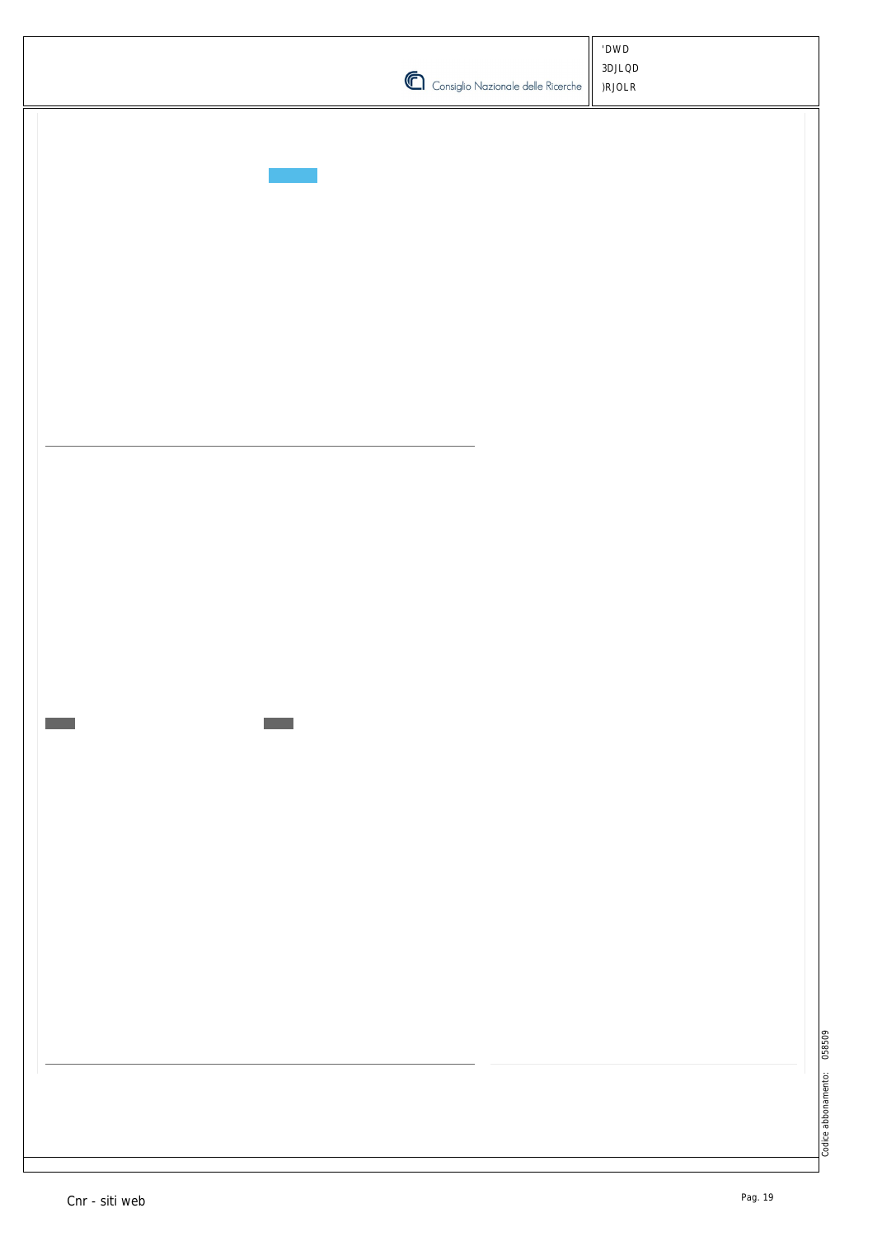

©6L WUDWWD GL XQD VRUSUHQGHQWH DSSOLFD]LRQH GHOOD SURSDJD]L OXFH ODVHU QHL PHIIL FRPSOHVVL FRQ LPSRUWDQWL DSSOLFDILRQL LQ PHGLFR<sup>a</sup> KD GLFKLDUDWR LO GLUHWWRUH, VF & QU & ODXGLR & RQWL ©/[ SRVVLELOLWI GL PRGXODUH VSD]LDOPHQWH OD FRPSRQHQWH RVVHD SHUPHWWHUHEEH GL SRWHU GLVHJQDUH WHVVXWL DG KRF RYYHUR µSHUVRQDOL||DWL¶ D VHFRQGD GHO WLSR GL HVLJHQ|D DQDWRPLFD H S GHO VLQJROR SD]LHQWH 1HO QRVWUR ODYRUR DEELDPR GLPRVWUDWR SRVVLELOH FRQWUROODUH LO PRGR LQ FXL OH FHOOXOH VWDPLQDOL PL RULHQWDQR VL DFFXPXODQR H uPDWXUDQR¶ VX XQD VXSHUILFLH DSSRVLWDPHQWH SURJHWWDWD FRQ XQR VSHFLILFR GLVHJQR ODVHU /[ VWUDWHJLD SRWUHEEH ULYROX|LRQDUH OD PHGLFLQD H OD FKLUXUJLD ULJHQHUDWLYD SHUFKP FL FRQVHQWH GL SURJHWWDUH XQD VWUXWWXU SHUVRQDOL||DWD VX XQD VXSHUILFLH DQWLEDWWHULFD<sup>a</sup> FRQFOXGH 3D

 $%6+31)28 - 86%88%8 - 2$ 

7 H F Q R O R D Q DR W H F Q RUORN H N L 3, 3

 $4386)$  & & )  $-28)6$  ) 77% 68 - % 2', )

6SRC 6SRC ) GGS P ETTEVIGGLMS I 7YTIVE PE RIZI GSR PE GEQFMERHS PI ZMXI H KSQQE WSXXS M TMIHN 'PMRMG 'SQTEVI  $I P E W G E$ 

) TEXMXI % FSSQ HM G 'LIQMSXIVETME EP 7E GSPTE HIPPI GS^^I I F GYJJME GLI WEPZE M (

5DFFRPDQGDWR GD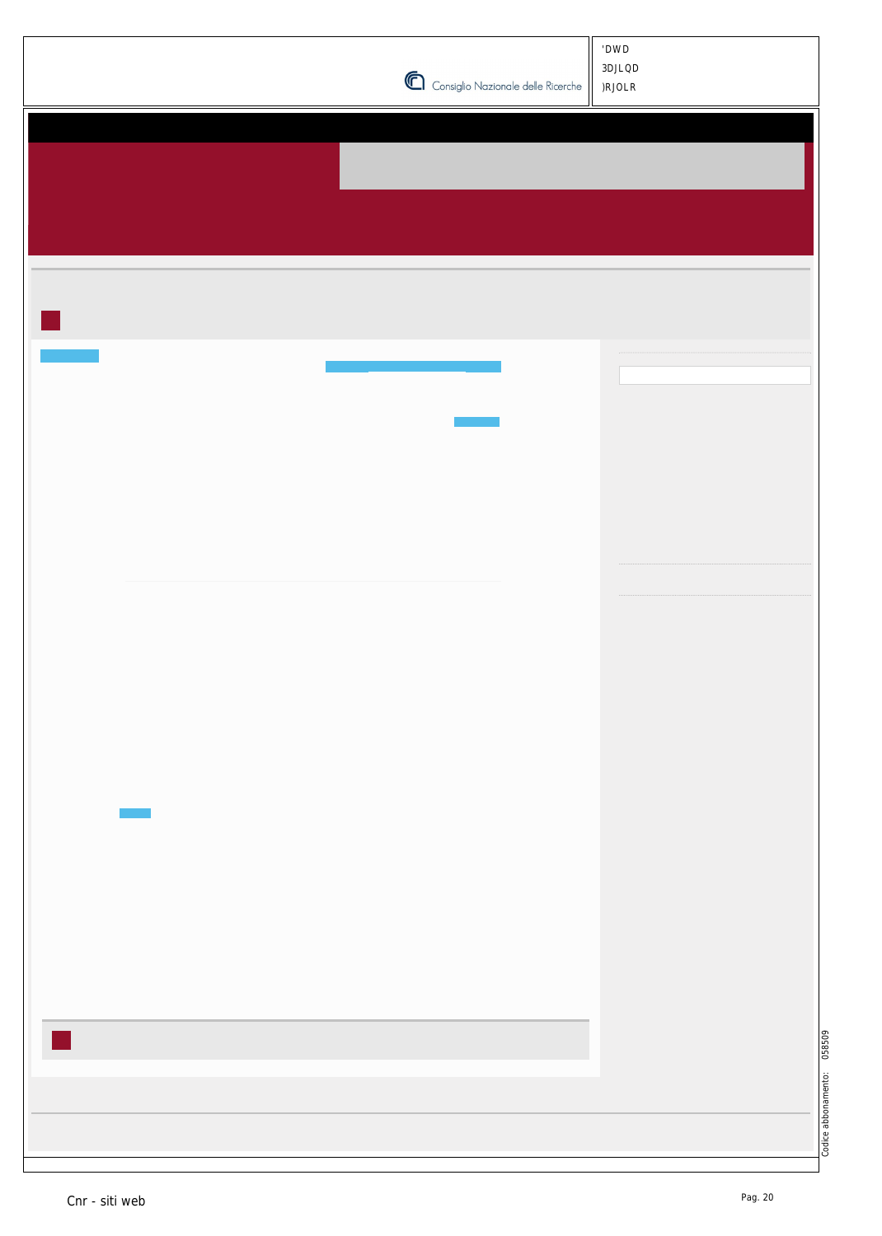<span id="page-19-0"></span>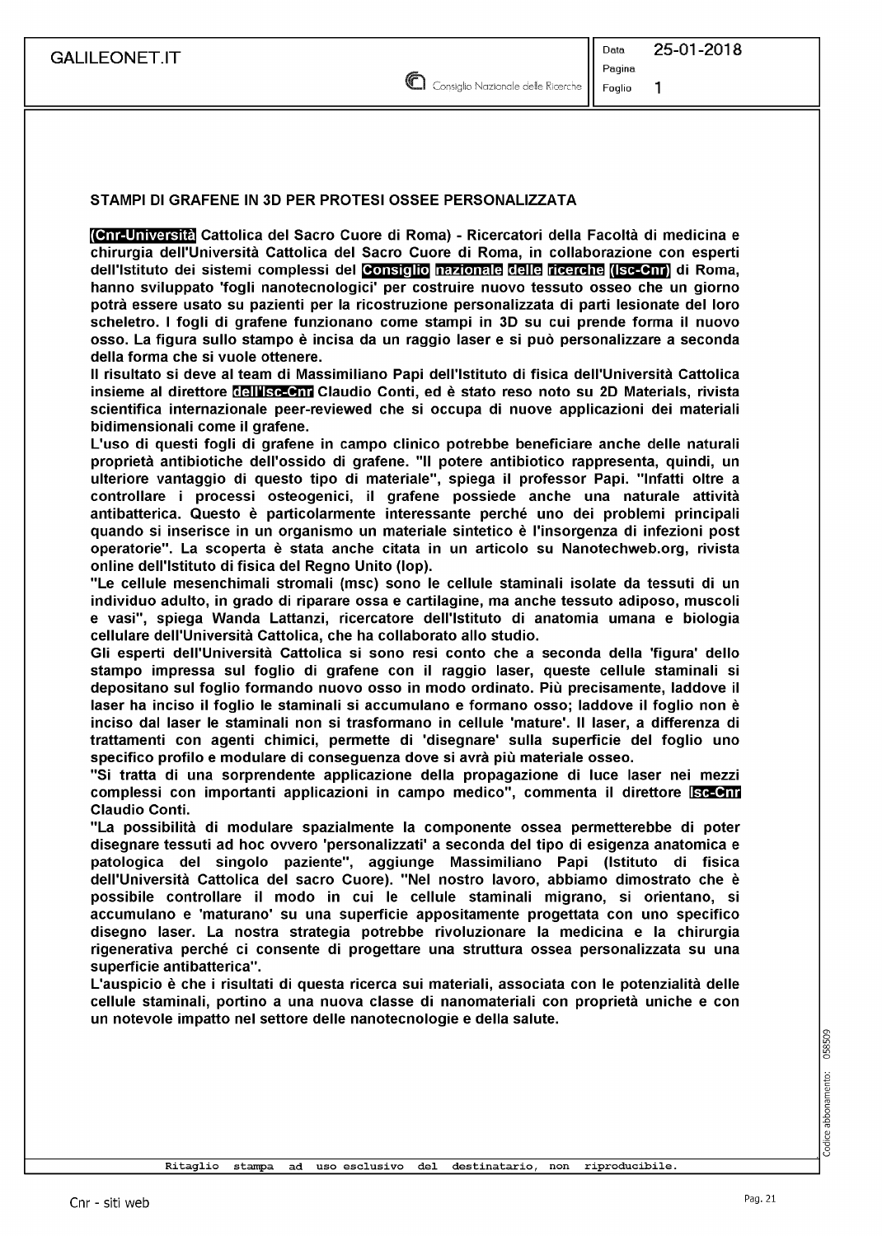Consiglio Nazionale delle Ricerche

Foglio  $\mathbf{1}$ 

Data

#### STAMPI DI GRAFENE IN 3D PER PROTESI OSSEE PERSONALIZZATA

(Cnr-Università Cattolica del Sacro Cuore di Roma) - Ricercatori della Facoltà di medicina e chirurgia dell'Università Cattolica del Sacro Cuore di Roma, in collaborazione con esperti dell'Istituto dei sistemi complessi del Consiglio nazionale delle ricerche (Isc-Chr) di Roma, hanno sviluppato 'fogli nanotecnologici' per costruire nuovo tessuto osseo che un giorno potrà essere usato su pazienti per la ricostruzione personalizzata di parti lesionate del loro scheletro. I fogli di grafene funzionano come stampi in 3D su cui prende forma il nuovo osso. La figura sullo stampo è incisa da un raggio laser e si può personalizzare a seconda della forma che si vuole ottenere.

Il risultato si deve al team di Massimiliano Papi dell'Istituto di fisica dell'Università Cattolica insieme al direttore dell'ECEON Claudio Conti, ed è stato reso noto su 2D Materials, rivista scientifica internazionale peer-reviewed che si occupa di nuove applicazioni dei materiali bidimensionali come il grafene.

L'uso di questi fogli di grafene in campo clinico potrebbe beneficiare anche delle naturali proprietà antibiotiche dell'ossido di grafene. "Il potere antibiotico rappresenta, quindi, un ulteriore vantaggio di questo tipo di materiale", spiega il professor Papi. "Infatti oltre a controllare i processi osteogenici, il grafene possiede anche una naturale attività antibatterica. Questo è particolarmente interessante perché uno dei problemi principali quando si inserisce in un organismo un materiale sintetico è l'insorgenza di infezioni post operatorie". La scoperta è stata anche citata in un articolo su Nanotechweb.org, rivista online dell'Istituto di fisica del Regno Unito (lop).

"Le cellule mesenchimali stromali (msc) sono le cellule staminali isolate da tessuti di un individuo adulto, in grado di riparare ossa e cartilagine, ma anche tessuto adiposo, muscoli e vasi", spiega Wanda Lattanzi, ricercatore dell'Istituto di anatomia umana e biologia cellulare dell'Università Cattolica, che ha collaborato allo studio.

Gli esperti dell'Università Cattolica si sono resi conto che a seconda della 'figura' dello stampo impressa sul foglio di grafene con il raggio laser, queste cellule staminali si depositano sul foglio formando nuovo osso in modo ordinato. Più precisamente, laddove il laser ha inciso il foglio le staminali si accumulano e formano osso; laddove il foglio non è inciso dal laser le staminali non si trasformano in cellule 'mature'. Il laser, a differenza di trattamenti con agenti chimici, permette di 'disegnare' sulla superficie del foglio uno specifico profilo e modulare di conseguenza dove si avrà più materiale osseo.

"Si tratta di una sorprendente applicazione della propagazione di luce laser nei mezzi complessi con importanti applicazioni in campo medico", commenta il direttore **[Sc-Cnr Claudio Conti.** 

"La possibilità di modulare spazialmente la componente ossea permetterebbe di poter disegnare tessuti ad hoc ovvero 'personalizzati' a seconda del tipo di esigenza anatomica e patologica del singolo paziente", aggiunge Massimiliano Papi (Istituto di fisica dell'Università Cattolica del sacro Cuore). "Nel nostro lavoro, abbiamo dimostrato che è possibile controllare il modo in cui le cellule staminali migrano, si orientano, si accumulano e 'maturano' su una superficie appositamente progettata con uno specifico disegno laser. La nostra strategia potrebbe rivoluzionare la medicina e la chirurgia rigenerativa perché ci consente di progettare una struttura ossea personalizzata su una superficie antibatterica".

L'auspicio è che i risultati di questa ricerca sui materiali, associata con le potenzialità delle cellule staminali, portino a una nuova classe di nanomateriali con proprietà uniche e con un notevole impatto nel settore delle nanotecnologie e della salute.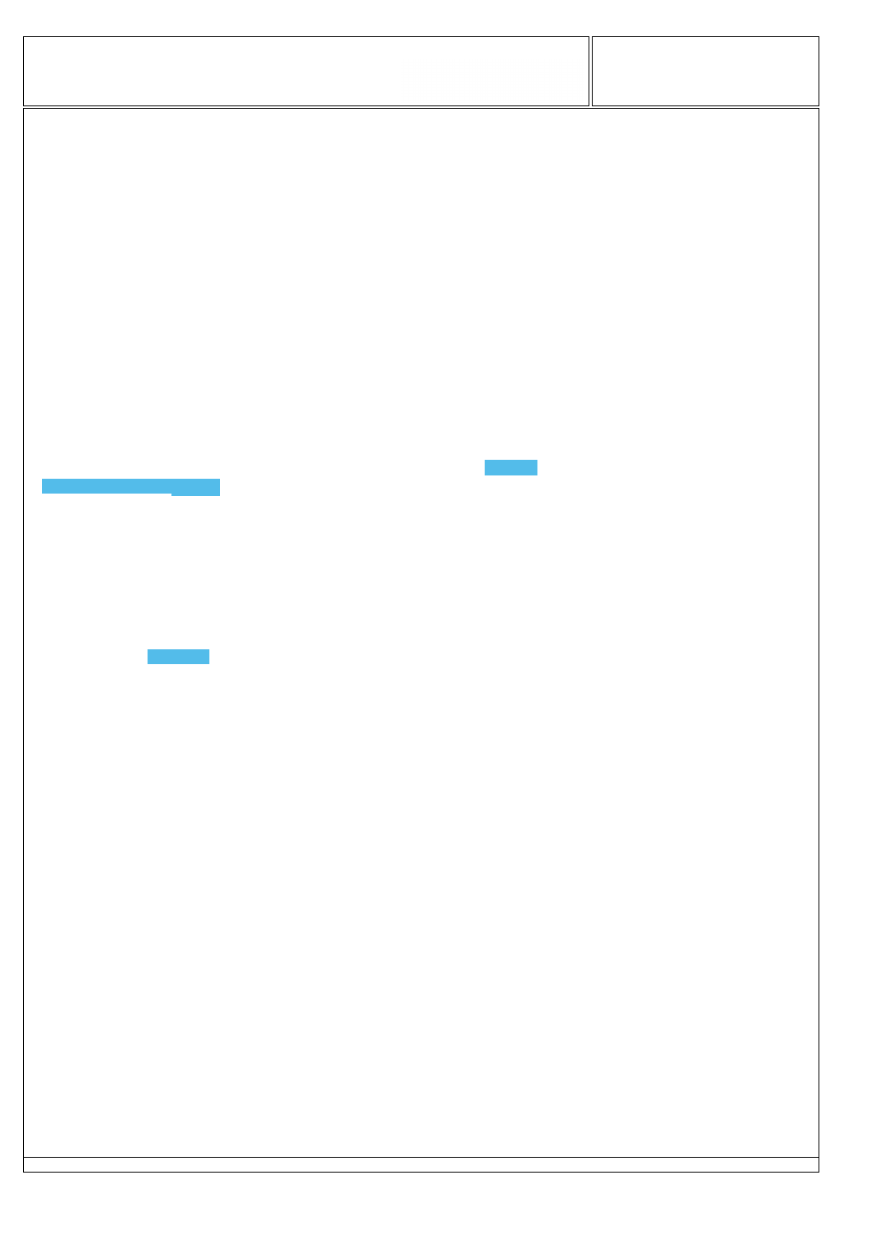<span id="page-21-0"></span>

| $127, =, (0 (', 8 + ( , 7$                                                                                            | $^\prime$ D W D<br>3DJLQD<br>$RJOLR$ |
|-----------------------------------------------------------------------------------------------------------------------|--------------------------------------|
|                                                                                                                       |                                      |
|                                                                                                                       |                                      |
|                                                                                                                       |                                      |
|                                                                                                                       |                                      |
| <b>Contract Contract Contract Contract Contract Contract Contract Contract Contract Contract Contract Contract Co</b> |                                      |
|                                                                                                                       |                                      |
|                                                                                                                       |                                      |
| and the state of the state of the state of the state of the state of the state of the state of the state of th        |                                      |
|                                                                                                                       |                                      |
|                                                                                                                       |                                      |
|                                                                                                                       |                                      |
|                                                                                                                       |                                      |
|                                                                                                                       |                                      |
|                                                                                                                       | Codice abbonamento: 058509           |
|                                                                                                                       |                                      |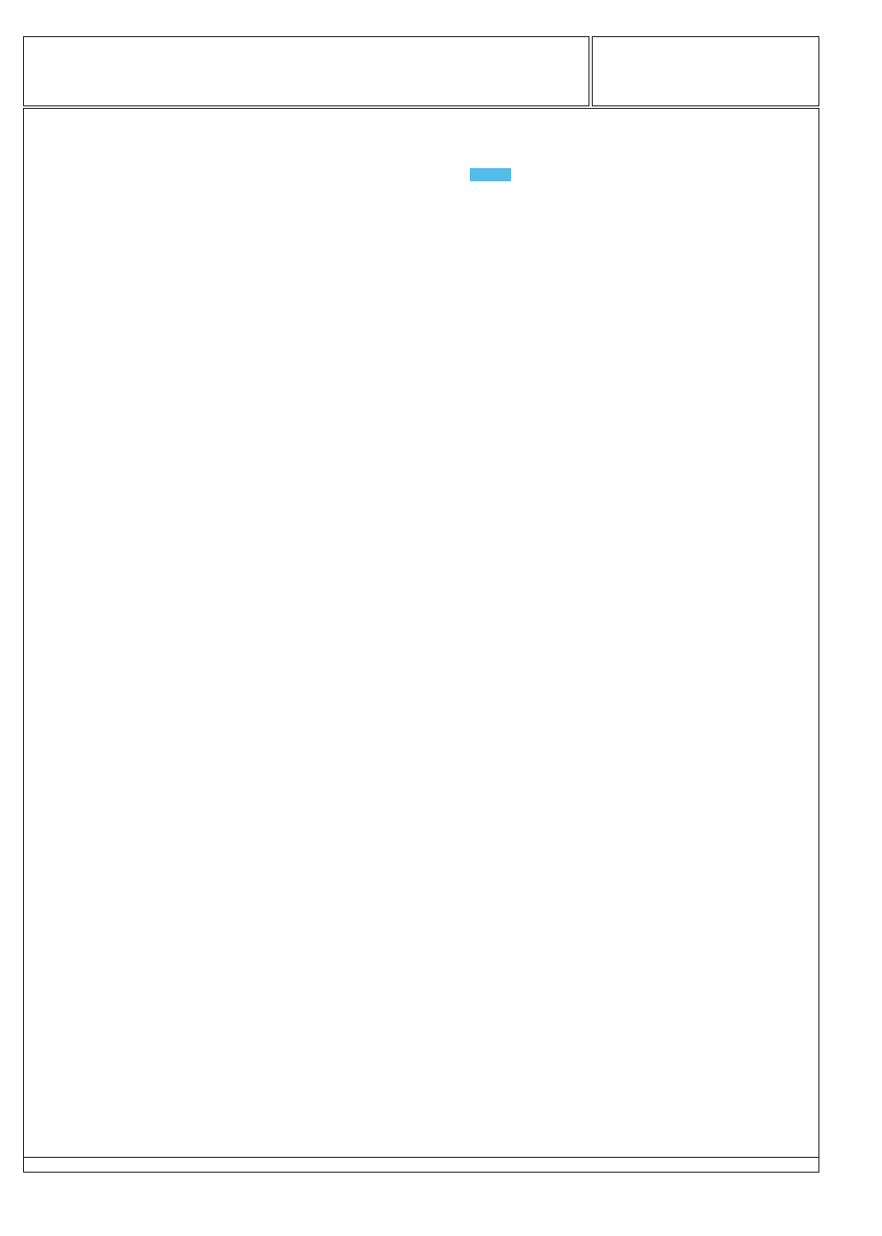| $127, =, (0 (', 8 + ( , 7$ | $^\circ$ D W D<br>$3 D J L Q D$<br>$RJOLR$ |
|----------------------------|--------------------------------------------|
|                            |                                            |
|                            |                                            |
|                            |                                            |
|                            |                                            |
|                            |                                            |
|                            |                                            |
|                            |                                            |
|                            |                                            |
|                            |                                            |
|                            |                                            |
|                            |                                            |
|                            |                                            |
|                            |                                            |
|                            | Codice abbonamento: 058509                 |
|                            |                                            |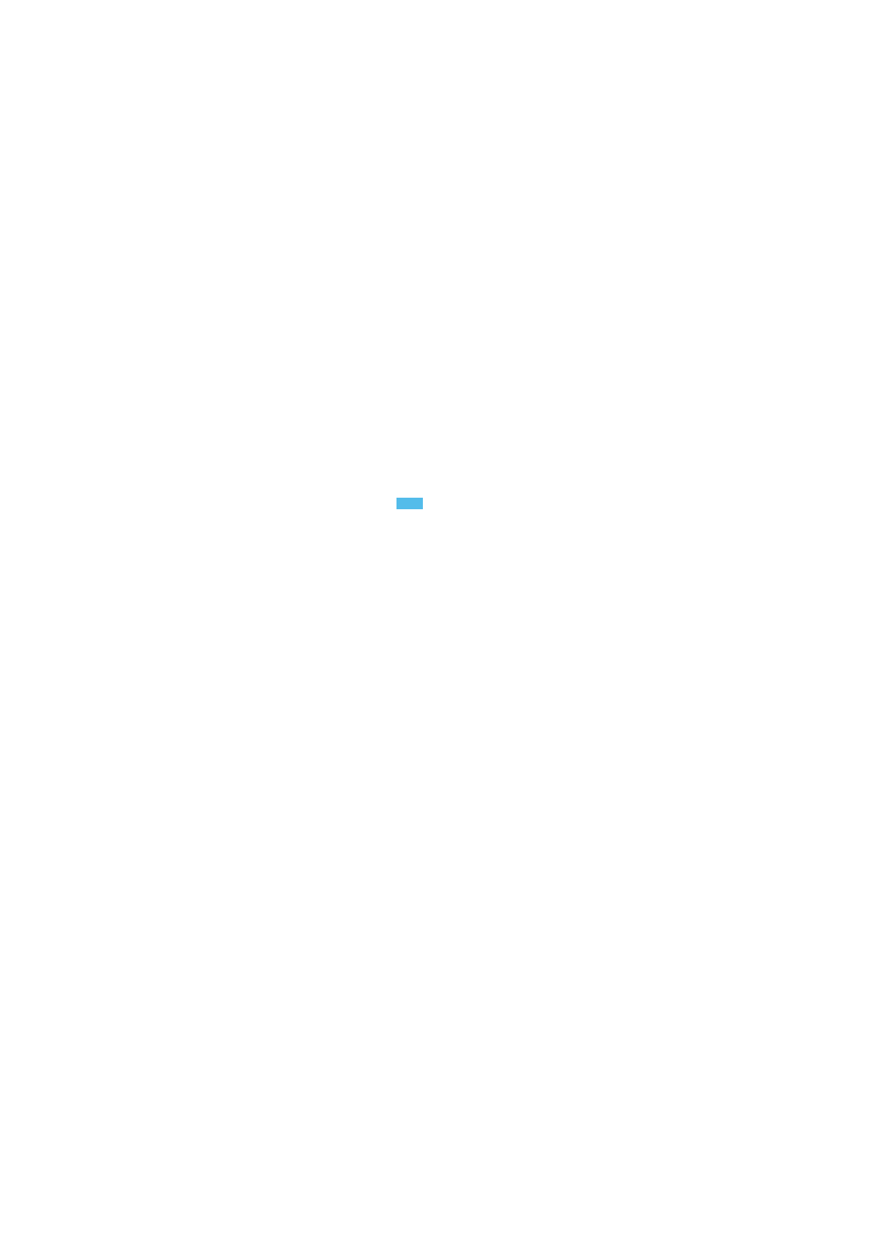<span id="page-23-0"></span> $\mathbb{R}^3$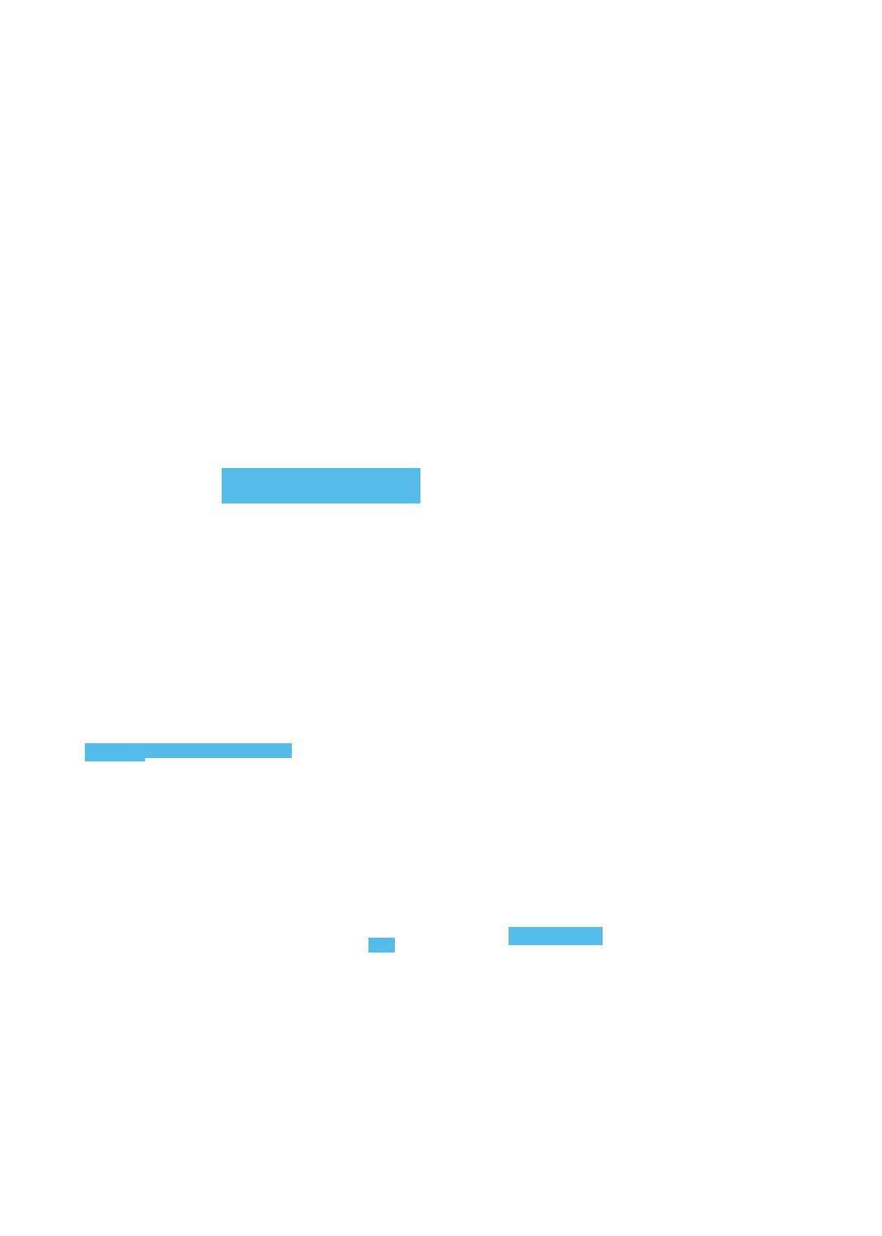<span id="page-25-0"></span>

and the control of the control of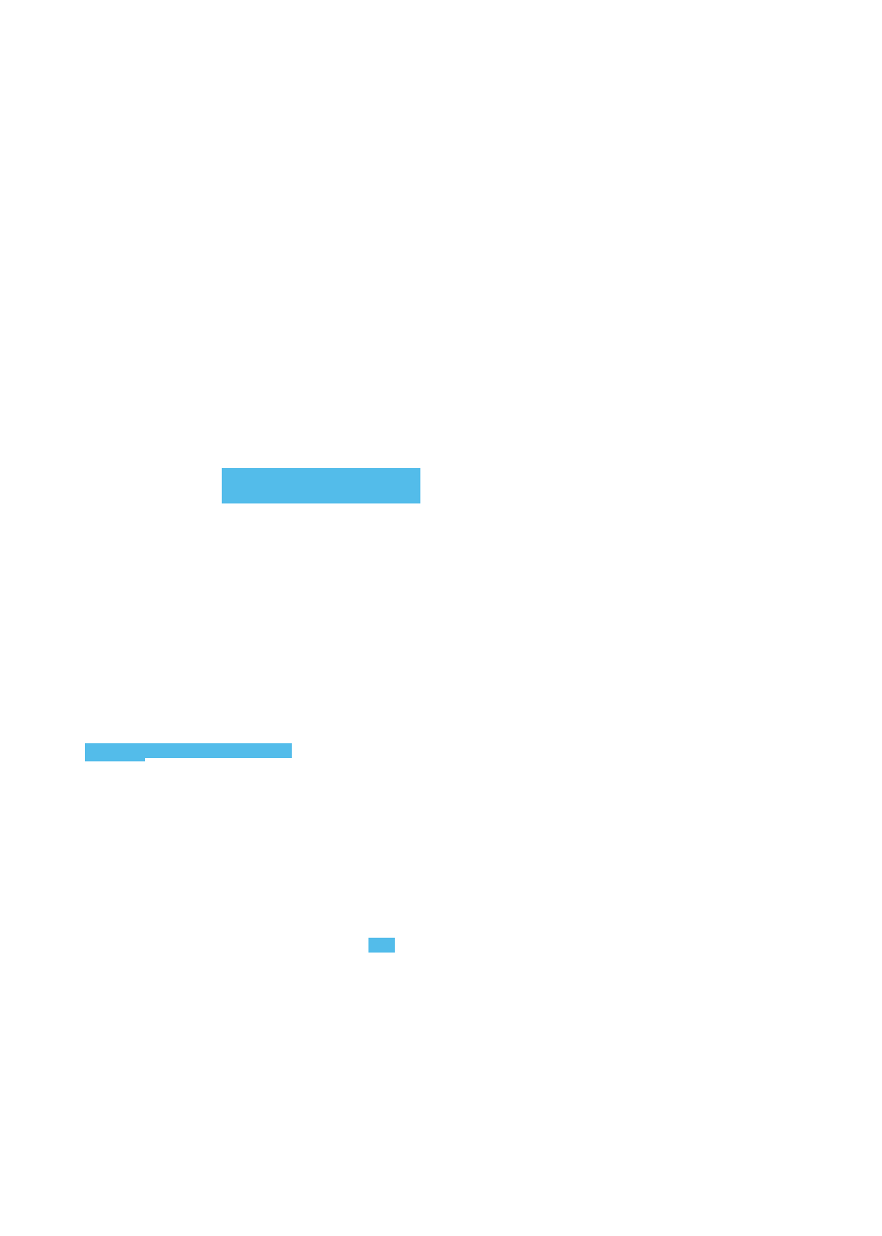<span id="page-28-0"></span>

Codice abbonamento: Codice abbonamento: 058509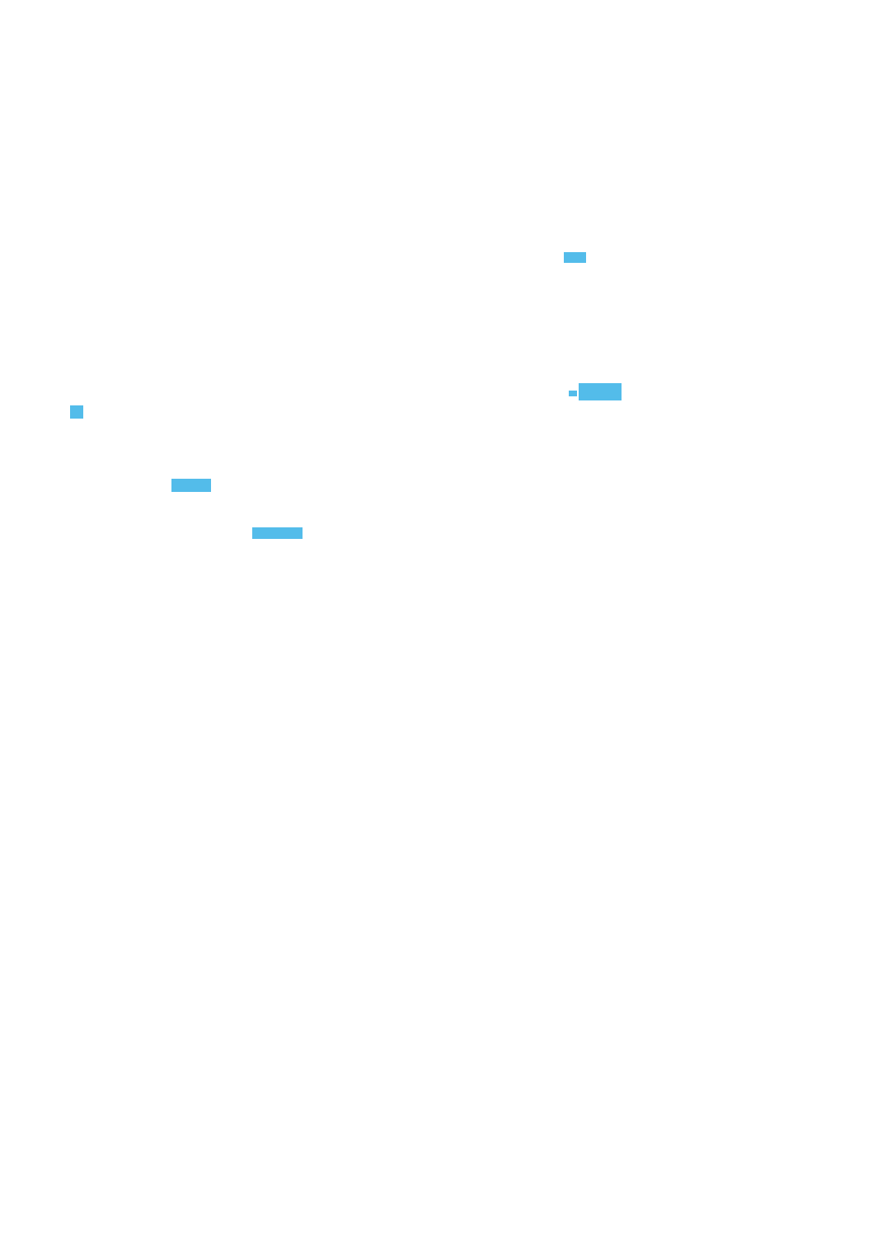<span id="page-30-0"></span>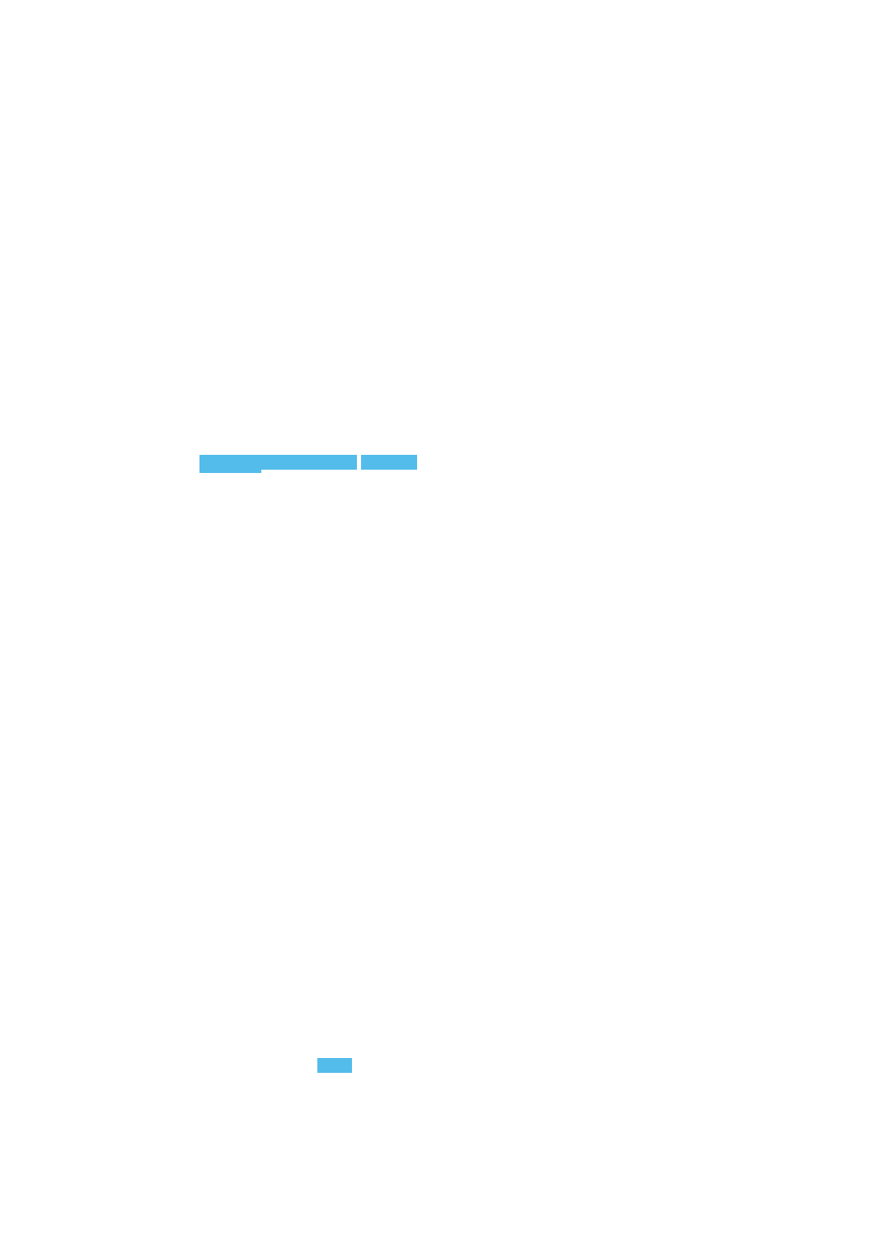# <span id="page-32-0"></span>Codice abbonamento: Codice abbonamento: 058509

#### Pag. 33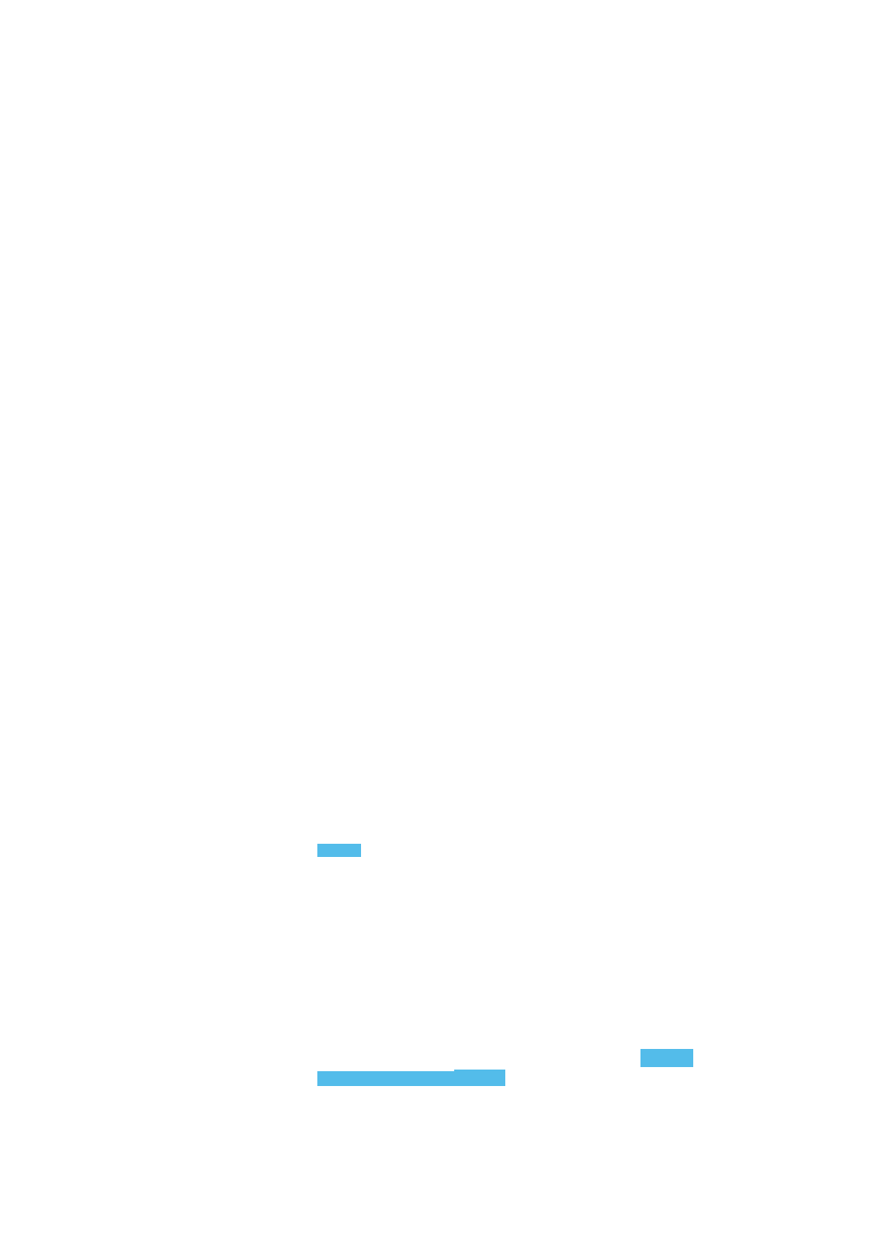<span id="page-33-0"></span>and the state of the state of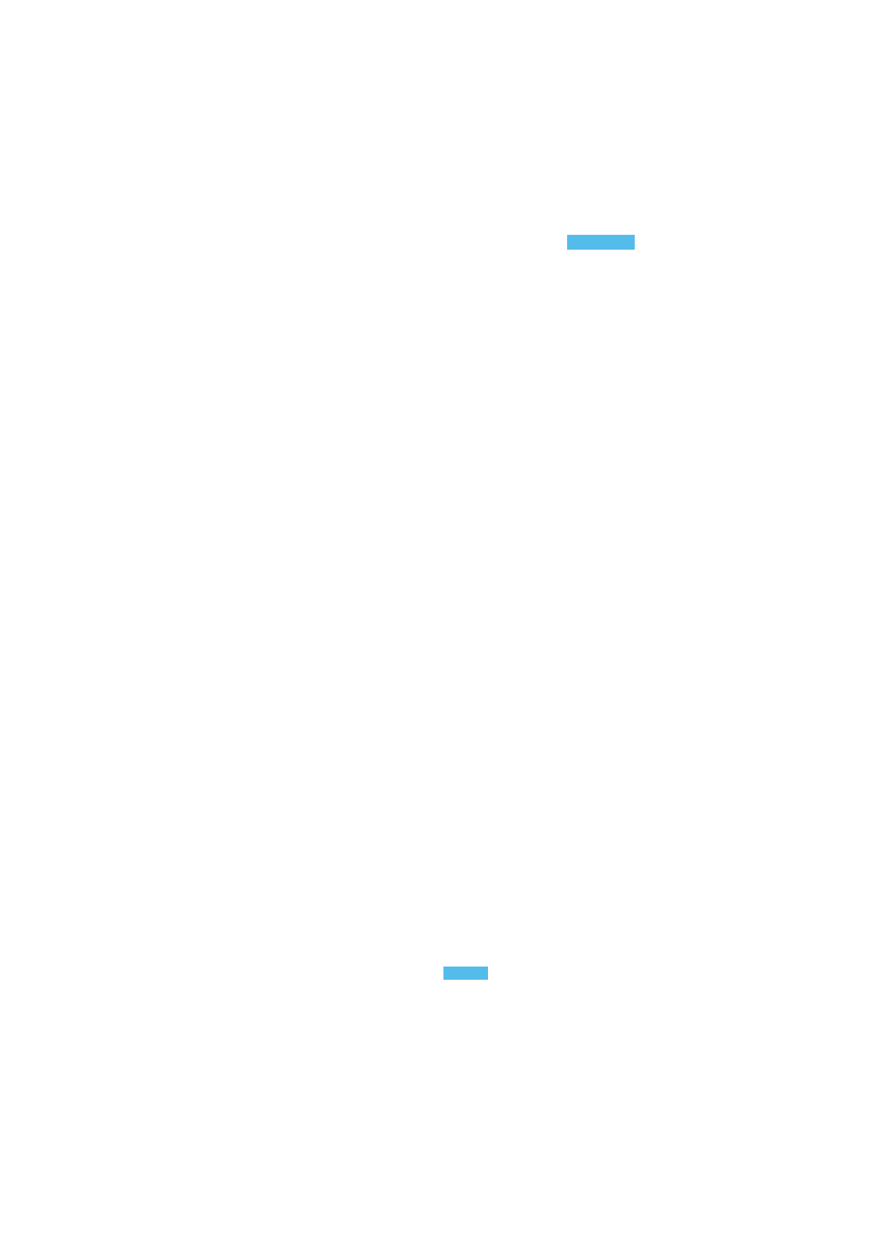Codice abbonamento: Codice abbonamento: 058509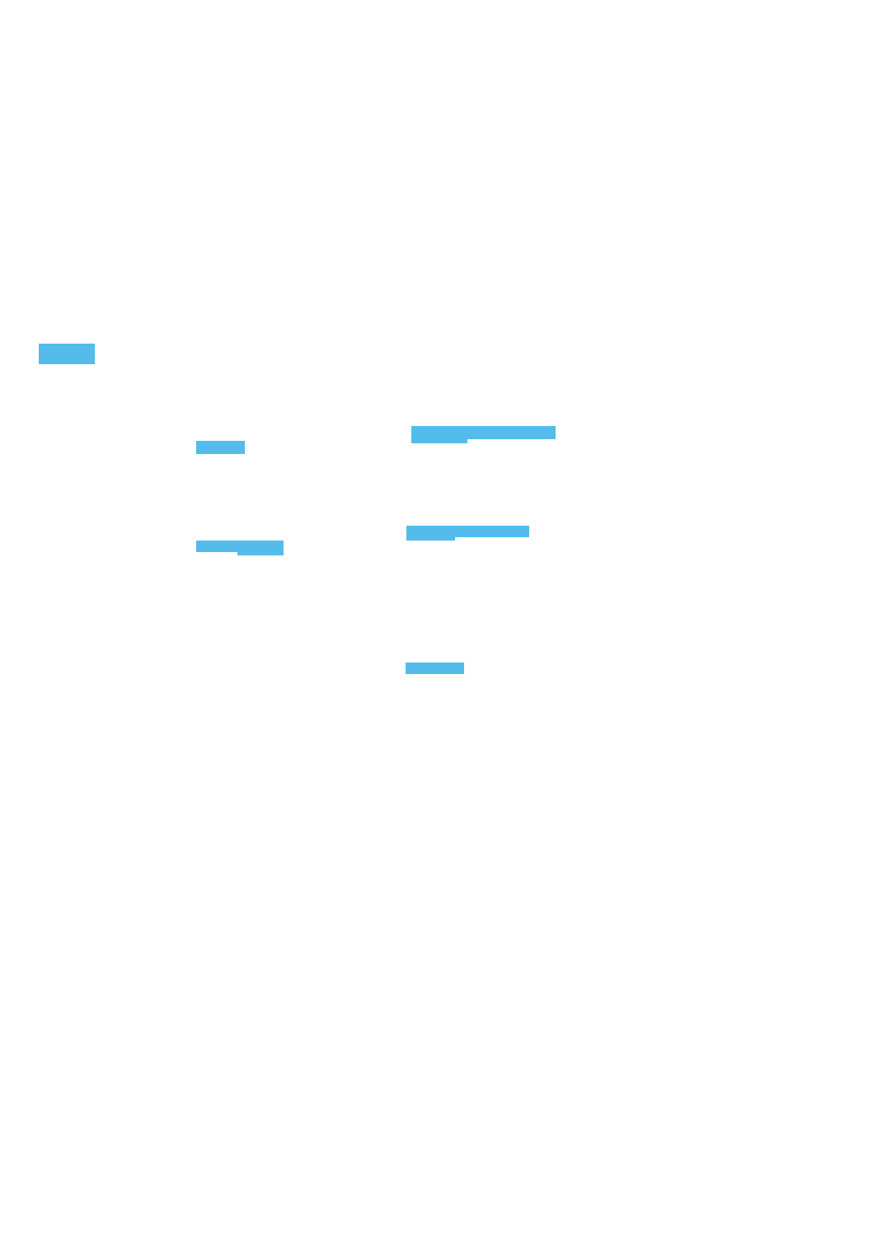<span id="page-36-0"></span>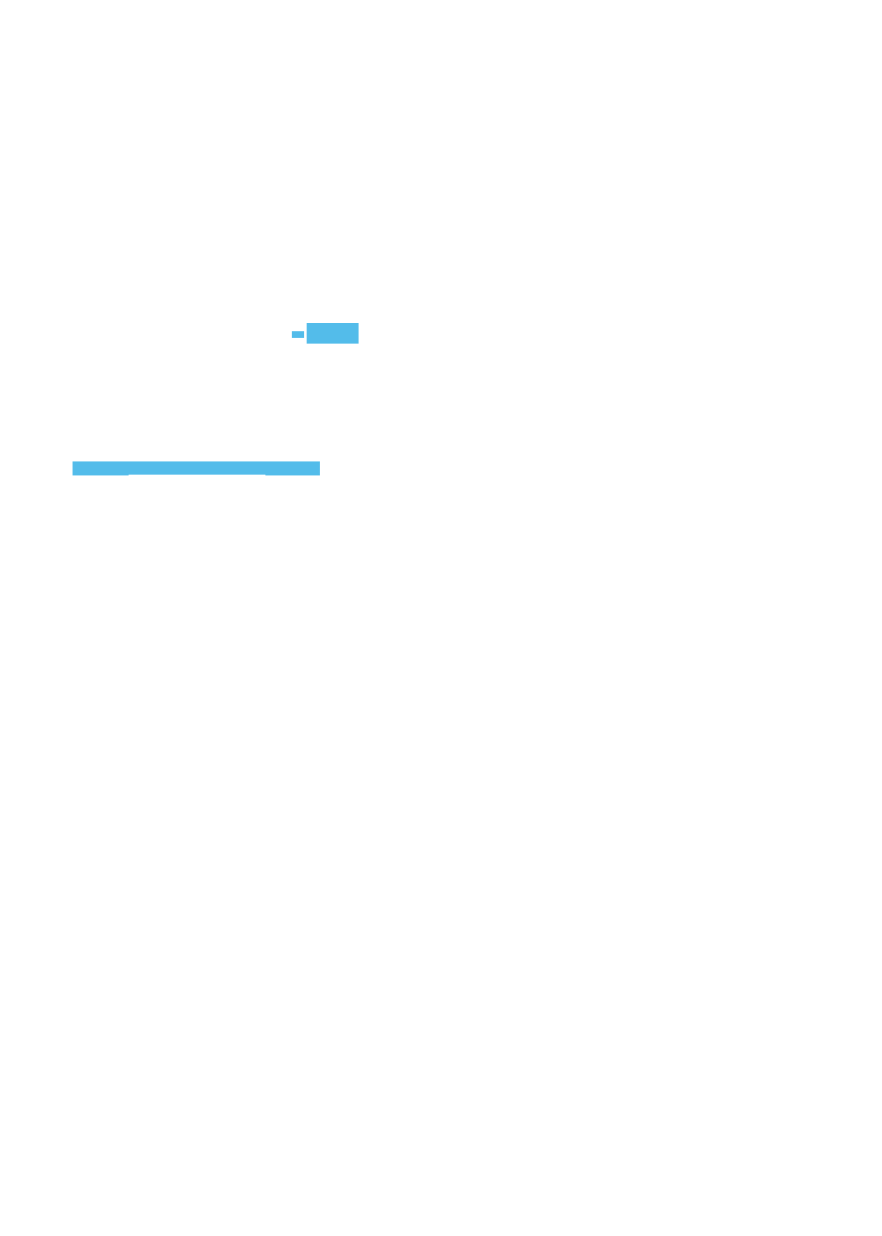<span id="page-38-0"></span>

|  | -1000 |
|--|-------|
|  |       |
|  |       |

Codice abbonamento: Codice abbonamento: 058509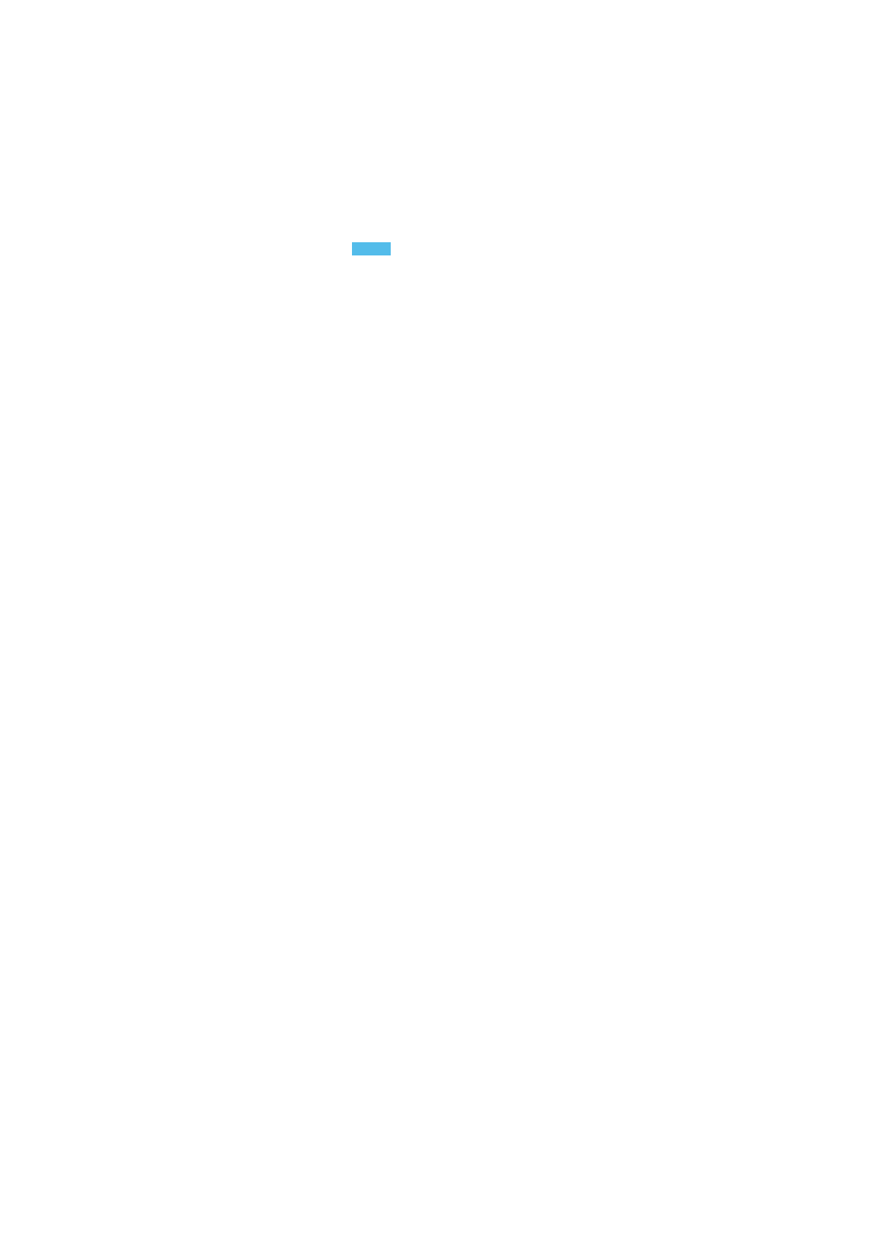Cnr - siti web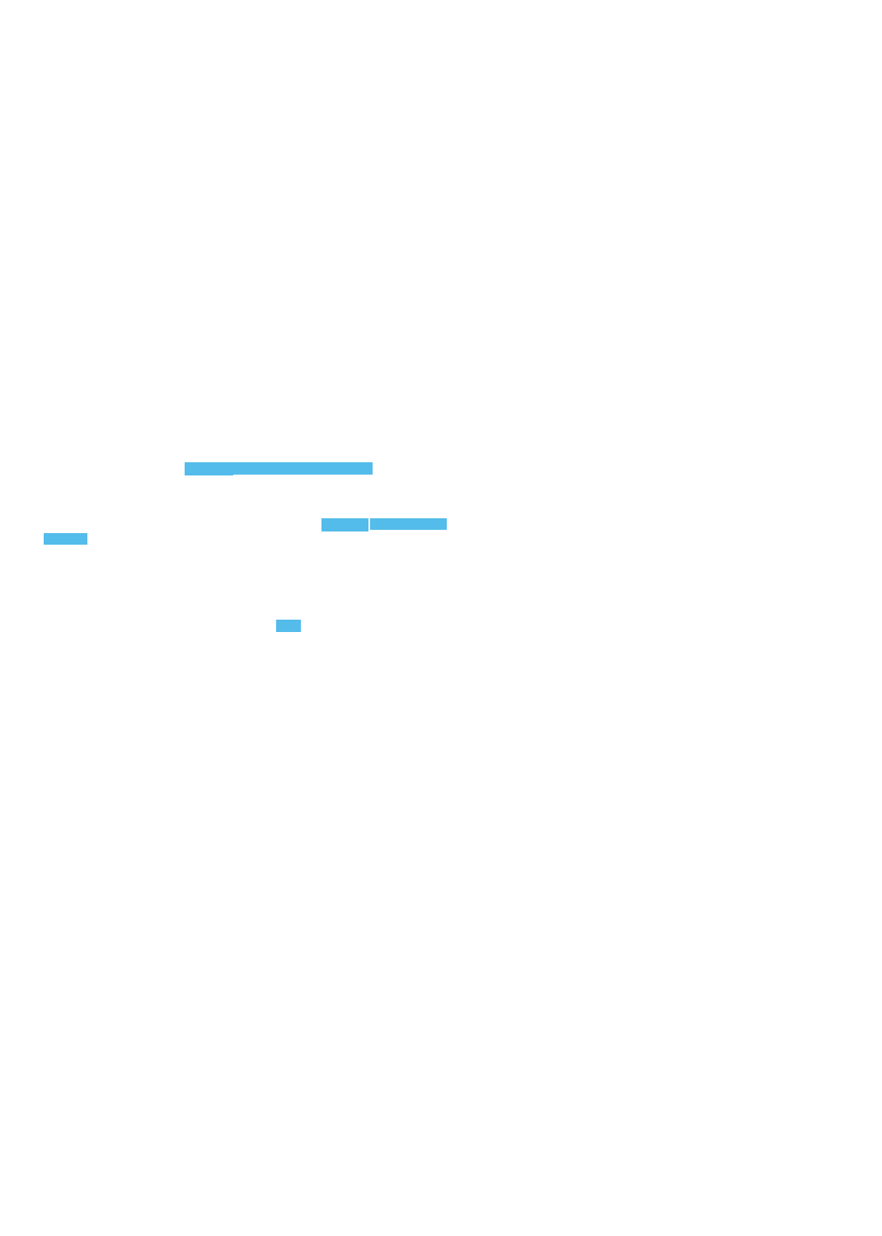<span id="page-43-0"></span>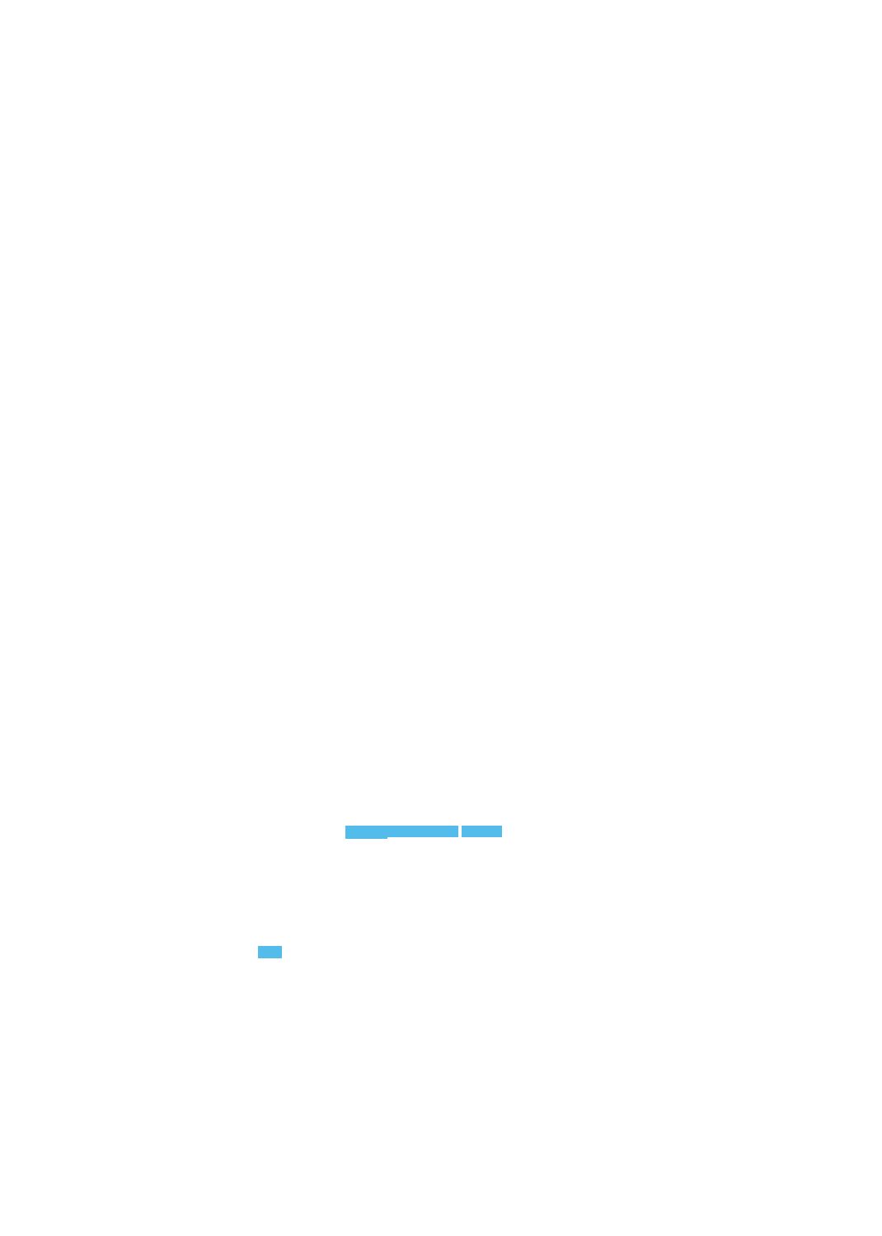<span id="page-44-0"></span>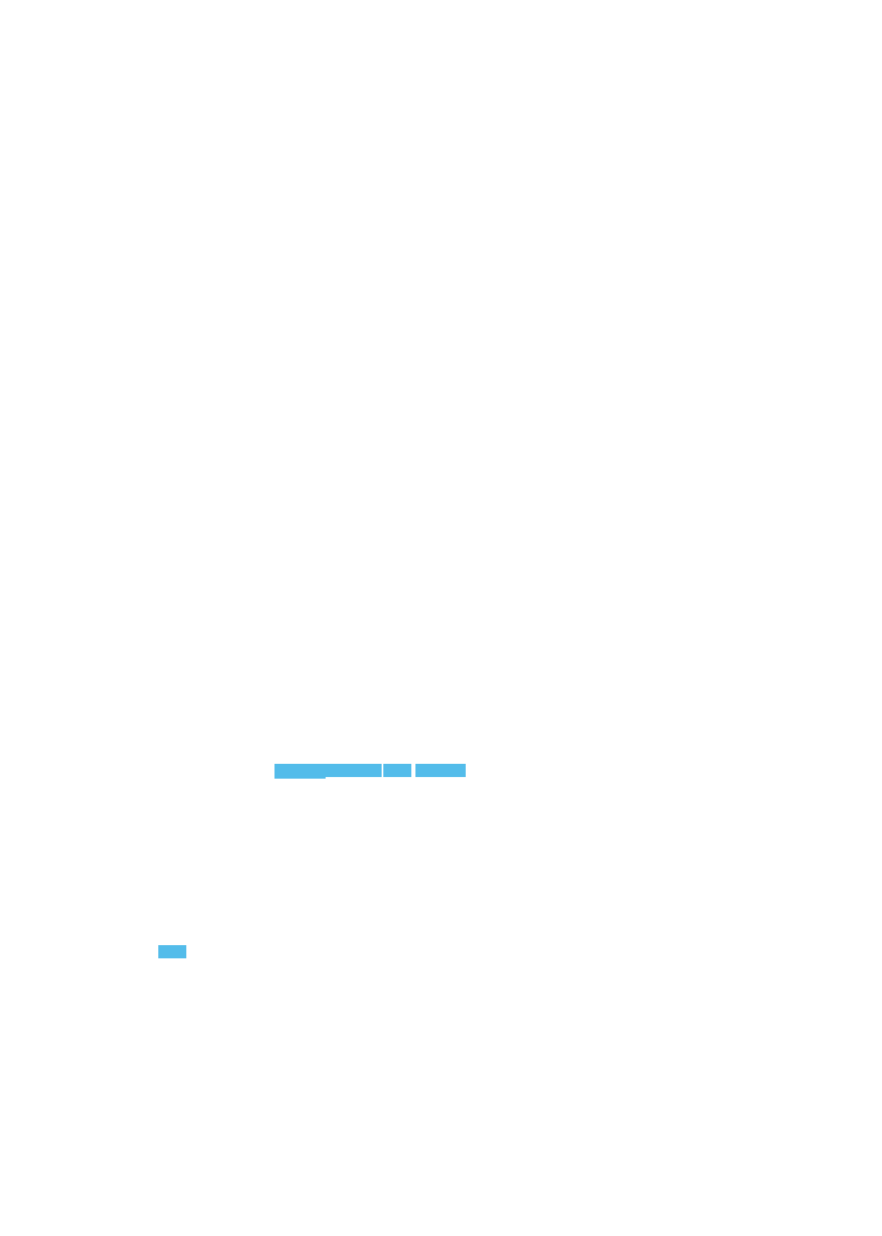<span id="page-46-0"></span>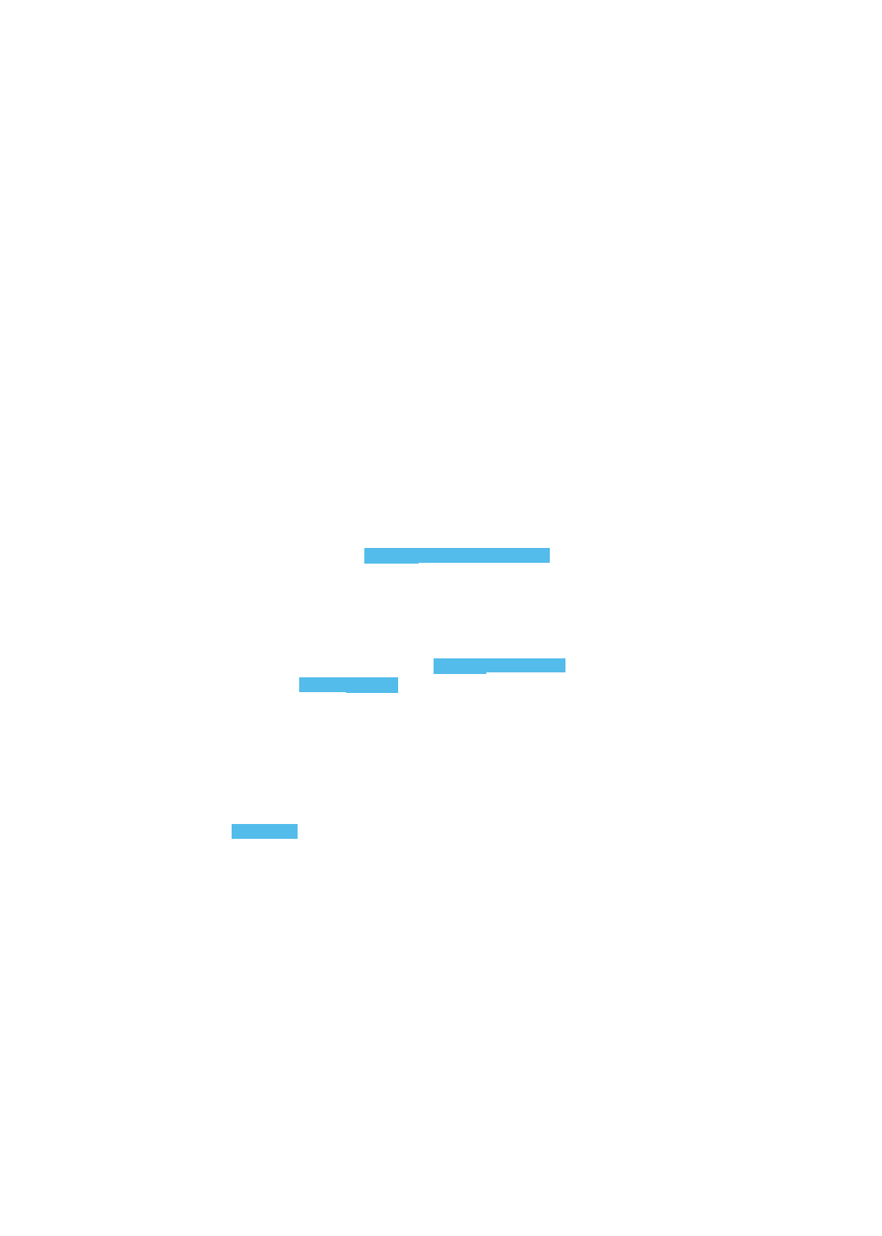<span id="page-49-0"></span>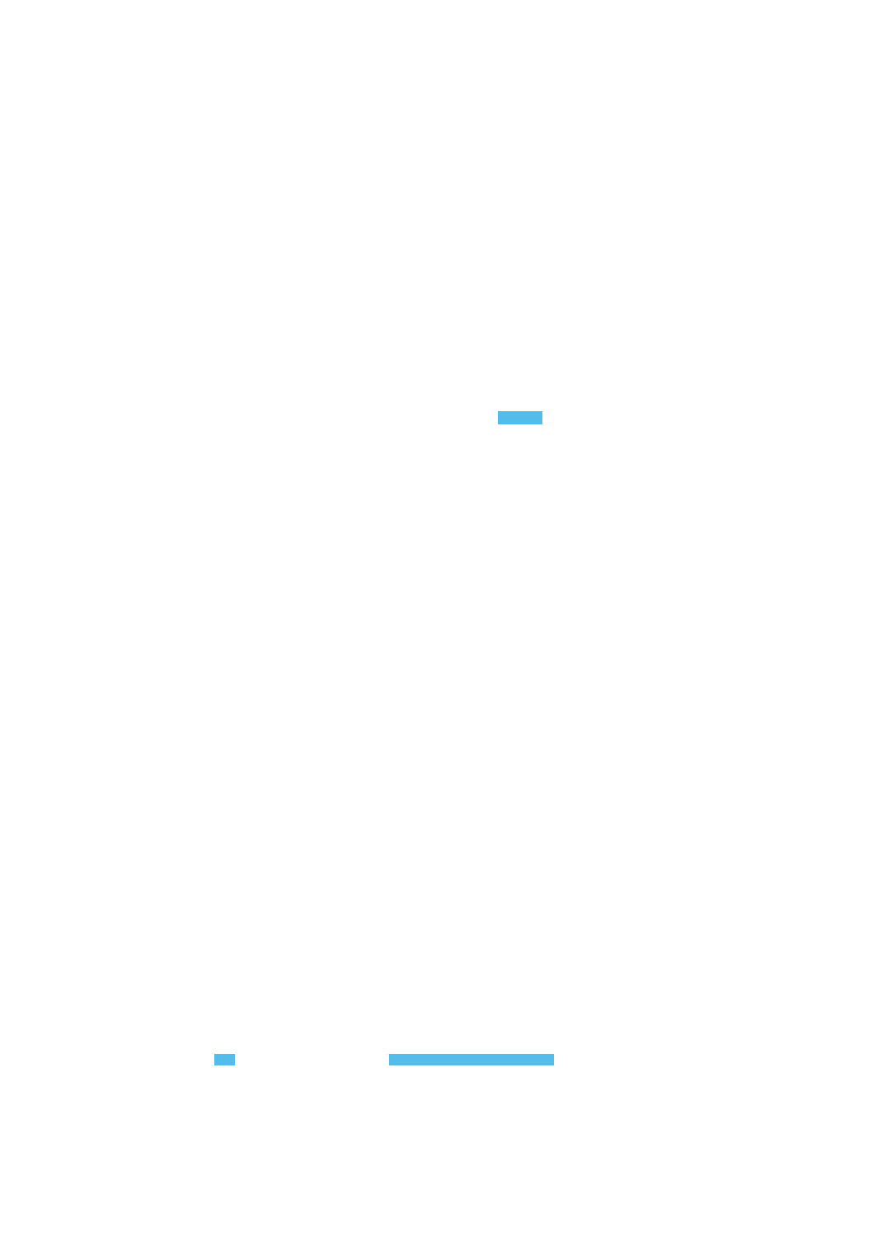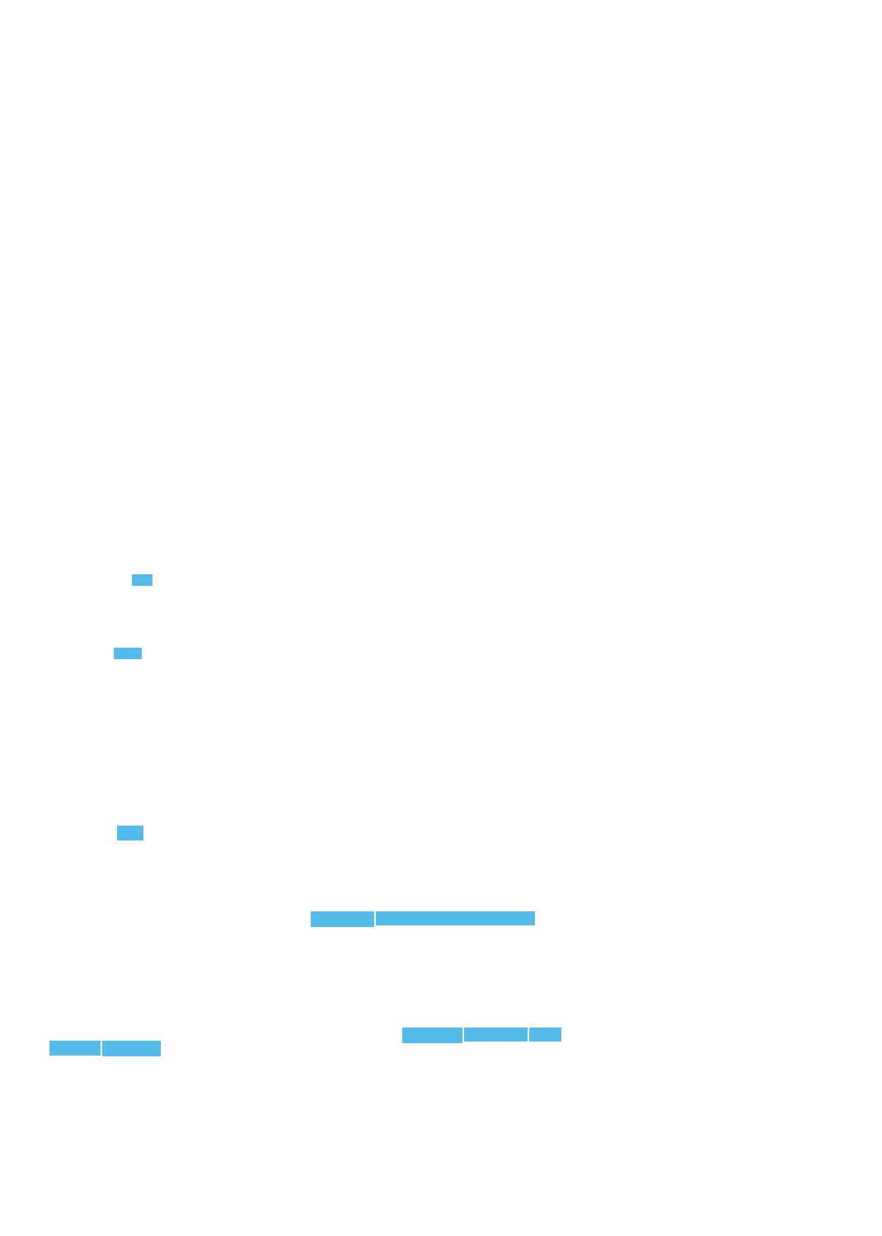<span id="page-51-0"></span>